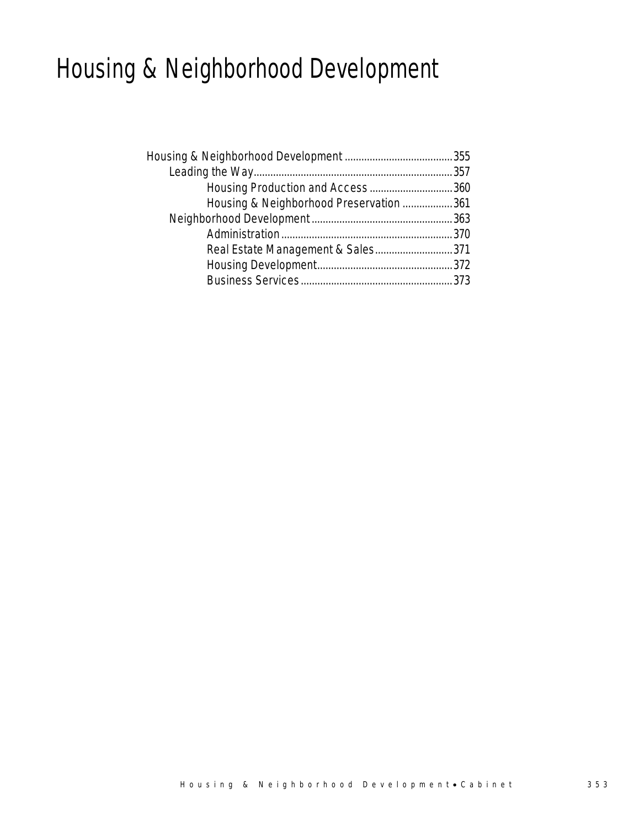## Housing & Neighborhood Development

| Housing Production and Access360        |  |
|-----------------------------------------|--|
| Housing & Neighborhood Preservation 361 |  |
|                                         |  |
|                                         |  |
| Real Estate Management & Sales371       |  |
|                                         |  |
|                                         |  |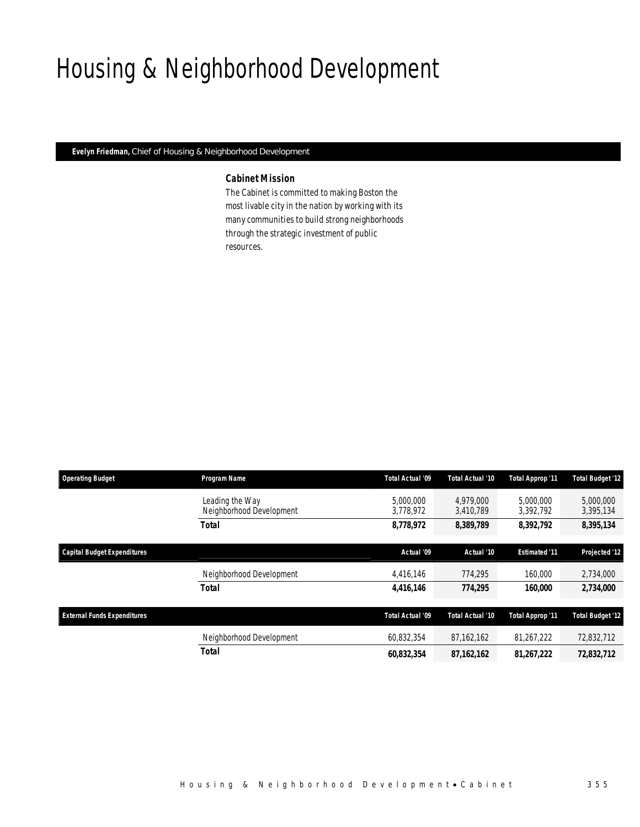## Housing & Neighborhood Development

*Evelyn Friedman, Chief of Housing & Neighborhood Development* 

### *Cabinet Mission*

The Cabinet is committed to making Boston the most livable city in the nation by working with its many communities to build strong neighborhoods through the strategic investment of public resources.

| <b>Operating Budget</b>            | Program Name                                | Total Actual '09       | Total Actual '10       | Total Approp '11        | <b>Total Budget '12</b> |  |
|------------------------------------|---------------------------------------------|------------------------|------------------------|-------------------------|-------------------------|--|
|                                    | Leading the Way<br>Neighborhood Development | 5.000.000<br>3,778,972 | 4.979.000<br>3,410,789 | 5,000,000<br>3,392,792  | 5,000,000<br>3,395,134  |  |
|                                    | Total                                       | 8,778,972              | 8,389,789              | 8,392,792               | 8,395,134               |  |
| <b>Capital Budget Expenditures</b> |                                             | Actual '09             | Actual '10             | <b>Estimated '11</b>    | Projected '12           |  |
|                                    | Neighborhood Development                    | 4,416,146              | 774.295                | 160,000                 | 2,734,000               |  |
|                                    | <b>Total</b>                                | 4,416,146              | 774,295                | 160,000                 | 2,734,000               |  |
| <b>External Funds Expenditures</b> |                                             | Total Actual '09       | Total Actual '10       | <b>Total Approp '11</b> | <b>Total Budget '12</b> |  |
|                                    | Neighborhood Development                    | 60,832,354             | 87,162,162             | 81,267,222              | 72,832,712              |  |
|                                    | Total                                       | 60.832.354             | 87, 162, 162           | 81,267,222              | 72,832,712              |  |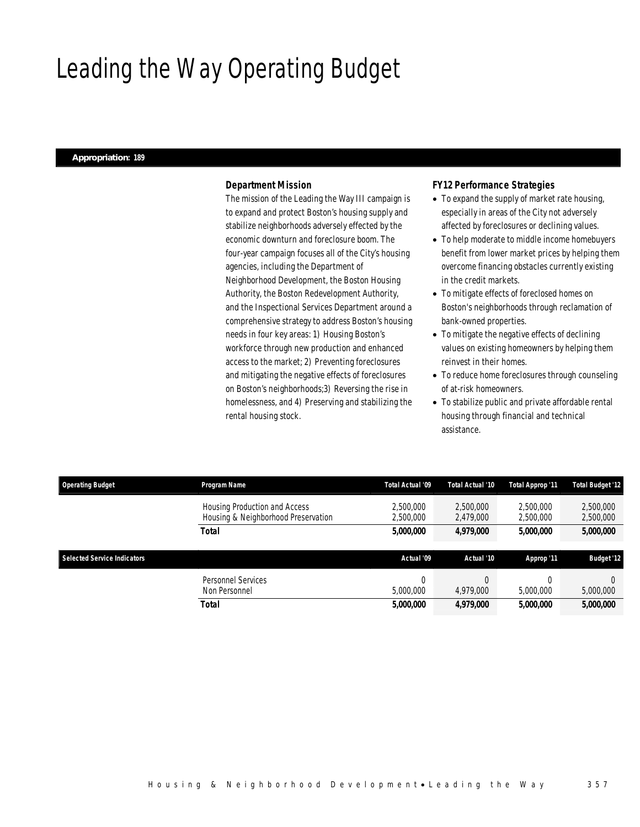## Leading the Way Operating Budget

### *Appropriation: 189*

### *Department Mission*

The mission of the Leading the Way III campaign is to expand and protect Boston's housing supply and stabilize neighborhoods adversely effected by the economic downturn and foreclosure boom. The four-year campaign focuses all of the City's housing agencies, including the Department of Neighborhood Development, the Boston Housing Authority, the Boston Redevelopment Authority, and the Inspectional Services Department around a comprehensive strategy to address Boston's housing needs in four key areas: 1) Housing Boston's workforce through new production and enhanced access to the market; 2) Preventing foreclosures and mitigating the negative effects of foreclosures on Boston's neighborhoods;3) Reversing the rise in homelessness, and 4) Preserving and stabilizing the rental housing stock.

### *FY12 Performance Strategies*

- To expand the supply of market rate housing, especially in areas of the City not adversely affected by foreclosures or declining values.
- To help moderate to middle income homebuyers benefit from lower market prices by helping them overcome financing obstacles currently existing in the credit markets.
- To mitigate effects of foreclosed homes on Boston's neighborhoods through reclamation of bank-owned properties.
- To mitigate the negative effects of declining values on existing homeowners by helping them reinvest in their homes.
- To reduce home foreclosures through counseling of at-risk homeowners.
- To stabilize public and private affordable rental housing through financial and technical assistance.

| <b>Operating Budget</b>            | Program Name                                                         | Total Actual '09       | Total Actual '10       | Total Approp '11       | <b>Total Budget '12</b> |
|------------------------------------|----------------------------------------------------------------------|------------------------|------------------------|------------------------|-------------------------|
|                                    | Housing Production and Access<br>Housing & Neighborhood Preservation | 2.500.000<br>2,500,000 | 2.500.000<br>2,479,000 | 2.500.000<br>2,500,000 | 2,500,000<br>2,500,000  |
|                                    | Total                                                                | 5,000,000              | 4,979,000              | 5,000,000              | 5,000,000               |
| <b>Selected Service Indicators</b> |                                                                      | Actual '09             | Actual '10             | Approp '11             | <b>Budget '12</b>       |
|                                    |                                                                      |                        |                        |                        |                         |
|                                    | Personnel Services<br>Non Personnel                                  | $\Omega$<br>5.000.000  | 4,979,000              | 5,000,000              | 5,000,000               |
|                                    | Total                                                                | 5,000,000              | 4,979,000              | <i>5,000,000</i>       | 5,000,000               |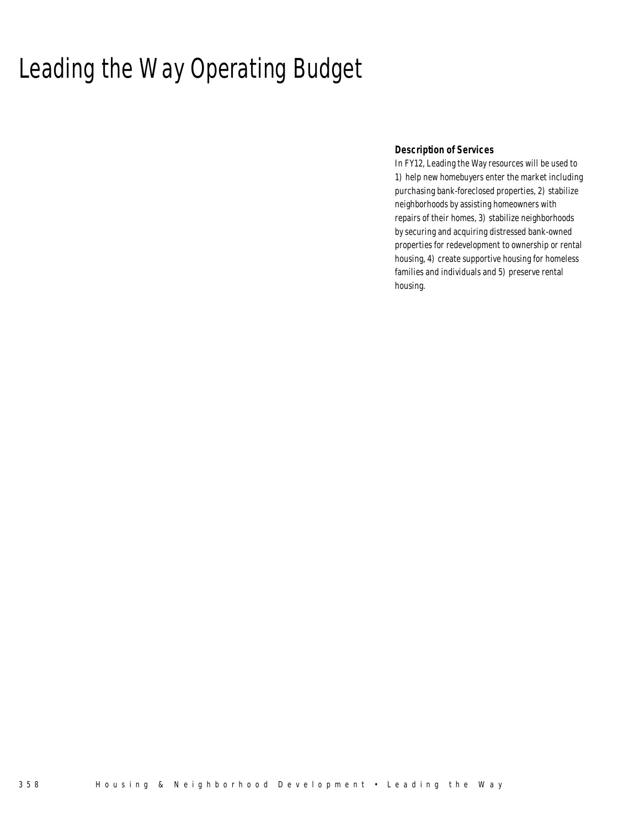## Leading the Way Operating Budget

## *Description of Services*

In FY12, Leading the Way resources will be used to 1) help new homebuyers enter the market including purchasing bank-foreclosed properties, 2) stabilize neighborhoods by assisting homeowners with repairs of their homes, 3) stabilize neighborhoods by securing and acquiring distressed bank-owned properties for redevelopment to ownership or rental housing, 4) create supportive housing for homeless families and individuals and 5) preserve rental housing.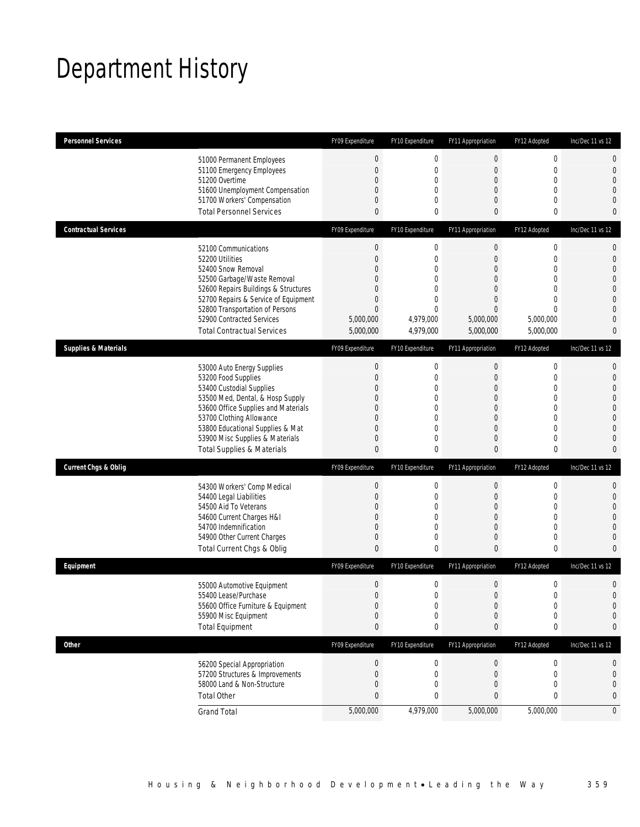## Department History

| <b>Personnel Services</b>       |                                                                     | FY09 Expenditure      | FY10 Expenditure               | FY11 Appropriation      | FY12 Adopted                 | Inc/Dec 11 vs 12 |
|---------------------------------|---------------------------------------------------------------------|-----------------------|--------------------------------|-------------------------|------------------------------|------------------|
|                                 | 51000 Permanent Employees                                           | $\boldsymbol{0}$      | $\boldsymbol{0}$               | $\boldsymbol{0}$        | $\boldsymbol{0}$             | 0                |
|                                 | 51100 Emergency Employees                                           | $\boldsymbol{0}$      | $\mathbf 0$                    | 0                       | $\mathbf 0$                  | 0                |
|                                 | 51200 Overtime                                                      | $\boldsymbol{0}$      | 0                              | $\mathbf 0$             | $\mathbf 0$                  | $\overline{0}$   |
|                                 | 51600 Unemployment Compensation                                     | 0<br>0                | $\mathbf{0}$<br>$\mathbf{0}$   | 0<br>0                  | $\mathbf{0}$<br>$\mathbf{0}$ | 0<br>0           |
|                                 | 51700 Workers' Compensation<br><b>Total Personnel Services</b>      | $\mathbf{0}$          | 0                              | 0                       | $\bf{0}$                     | 0                |
| <b>Contractual Services</b>     |                                                                     | FY09 Expenditure      | FY10 Expenditure               | FY11 Appropriation      | FY12 Adopted                 | Inc/Dec 11 vs 12 |
|                                 |                                                                     |                       |                                |                         |                              |                  |
|                                 | 52100 Communications                                                | $\boldsymbol{0}$      | $\boldsymbol{0}$               | $\boldsymbol{0}$        | $\boldsymbol{0}$             | 0                |
|                                 | 52200 Utilities<br>52400 Snow Removal                               | $\boldsymbol{0}$<br>0 | $\mathbf{0}$<br>$\Omega$       | $\mathbf 0$<br>$\Omega$ | $\mathbf 0$<br>$\mathbf{0}$  | $\mathbf 0$<br>0 |
|                                 | 52500 Garbage/Waste Removal                                         | 0                     | $\overline{0}$                 | $\overline{0}$          | $\mathbf{0}$                 | 0                |
|                                 | 52600 Repairs Buildings & Structures                                | 0                     | $\mathbf{0}$                   | $\Omega$                | $\mathbf{0}$                 | 0                |
|                                 | 52700 Repairs & Service of Equipment                                | $\boldsymbol{0}$      | 0                              | $\overline{0}$          | $\mathbf{0}$                 | $\overline{0}$   |
|                                 | 52800 Transportation of Persons                                     | $\mathbf{0}$          | $\overline{0}$                 | $\overline{0}$          | $\mathbf{0}$                 | 0                |
|                                 | 52900 Contracted Services                                           | 5,000,000             | 4,979,000                      | 5,000,000               | 5,000,000                    | 0                |
|                                 | <b>Total Contractual Services</b>                                   | 5,000,000             | 4,979,000                      | 5,000,000               | 5,000,000                    | 0                |
| <b>Supplies &amp; Materials</b> |                                                                     | FY09 Expenditure      | FY10 Expenditure               | FY11 Appropriation      | FY12 Adopted                 | Inc/Dec 11 vs 12 |
|                                 | 53000 Auto Energy Supplies                                          | $\boldsymbol{0}$      | $\boldsymbol{0}$               | $\boldsymbol{0}$        | $\boldsymbol{0}$             | 0                |
|                                 | 53200 Food Supplies                                                 | $\boldsymbol{0}$      | 0                              | $\mathbf 0$             | $\mathbf 0$                  | $\mathbf 0$      |
|                                 | 53400 Custodial Supplies                                            | 0                     | $\mathbf{0}$                   | 0                       | $\mathbf{0}$                 | 0                |
|                                 | 53500 Med, Dental, & Hosp Supply                                    | 0                     | $\mathbf{0}$                   | $\overline{0}$          | $\mathbf 0$                  | 0                |
|                                 | 53600 Office Supplies and Materials                                 | 0                     | 0                              | $\Omega$                | $\mathbf{0}$                 | 0                |
|                                 | 53700 Clothing Allowance                                            | 0                     | 0                              | $\Omega$                | $\mathbf{0}$<br>$\mathbf{0}$ | $\overline{0}$   |
|                                 | 53800 Educational Supplies & Mat<br>53900 Misc Supplies & Materials | 0<br>0                | $\overline{0}$<br>$\mathbf{0}$ | $\overline{0}$<br>0     | $\mathbf 0$                  | 0<br>0           |
|                                 | <b>Total Supplies &amp; Materials</b>                               | $\mathbf{0}$          | 0                              | 0                       | $\bf{0}$                     | 0                |
| <b>Current Chgs &amp; Oblig</b> |                                                                     | FY09 Expenditure      | FY10 Expenditure               | FY11 Appropriation      | FY12 Adopted                 | Inc/Dec 11 vs 12 |
|                                 |                                                                     |                       |                                |                         |                              |                  |
|                                 | 54300 Workers' Comp Medical                                         | $\boldsymbol{0}$      | $\boldsymbol{0}$               | $\boldsymbol{0}$        | $\boldsymbol{0}$             | 0                |
|                                 | 54400 Legal Liabilities                                             | $\boldsymbol{0}$      | 0                              | $\mathbf 0$             | $\mathbf 0$<br>$\mathbf{0}$  | $\mathbf 0$<br>0 |
|                                 | 54500 Aid To Veterans<br>54600 Current Charges H&I                  | 0<br>0                | $\mathbf{0}$<br>$\overline{0}$ | 0<br>$\mathbf 0$        | $\mathbf 0$                  | 0                |
|                                 | 54700 Indemnification                                               | $\mathbf{0}$          | 0                              | 0                       | $\mathbf{0}$                 | 0                |
|                                 | 54900 Other Current Charges                                         | $\boldsymbol{0}$      | 0                              | 0                       | $\mathbf 0$                  | 0                |
|                                 | Total Current Chgs & Oblig                                          | $\mathbf{0}$          | 0                              | $\overline{0}$          | $\mathbf{0}$                 | 0                |
| Equipment                       |                                                                     | FY09 Expenditure      | FY10 Expenditure               | FY11 Appropriation      | FY12 Adopted                 | Inc/Dec 11 vs 12 |
|                                 | 55000 Automotive Equipment                                          | $\boldsymbol{0}$      | 0                              | $\mathbf 0$             | $\boldsymbol{0}$             | 0                |
|                                 | 55400 Lease/Purchase                                                | $\overline{0}$        | $\Omega$                       | $\overline{0}$          | $\mathbf{0}$                 | $\overline{0}$   |
|                                 | 55600 Office Furniture & Equipment                                  | $\boldsymbol{0}$      | 0                              | $\boldsymbol{0}$        | $\boldsymbol{0}$             | $\mathbf 0$      |
|                                 | 55900 Misc Equipment                                                | $\boldsymbol{0}$      | 0                              | $\boldsymbol{0}$        | $\boldsymbol{0}$             | 0                |
|                                 | <b>Total Equipment</b>                                              | $\pmb{0}$             | 0                              | 0                       | 0                            | 0                |
| <b>Other</b>                    |                                                                     | FY09 Expenditure      | FY10 Expenditure               | FY11 Appropriation      | FY12 Adopted                 | Inc/Dec 11 vs 12 |
|                                 | 56200 Special Appropriation                                         | $\boldsymbol{0}$      | 0                              | $\boldsymbol{0}$        | 0                            | 0                |
|                                 | 57200 Structures & Improvements                                     | $\boldsymbol{0}$      | 0                              | $\mathbf 0$             | 0                            | 0                |
|                                 | 58000 Land & Non-Structure                                          | $\boldsymbol{0}$      | 0                              | $\mathbf 0$             | $\mathbf{0}$                 | 0                |
|                                 | <b>Total Other</b>                                                  | $\pmb{0}$             | 0                              | 0                       | 0                            | 0                |
|                                 | <b>Grand Total</b>                                                  | 5,000,000             | 4,979,000                      | 5,000,000               | 5,000,000                    | $\overline{0}$   |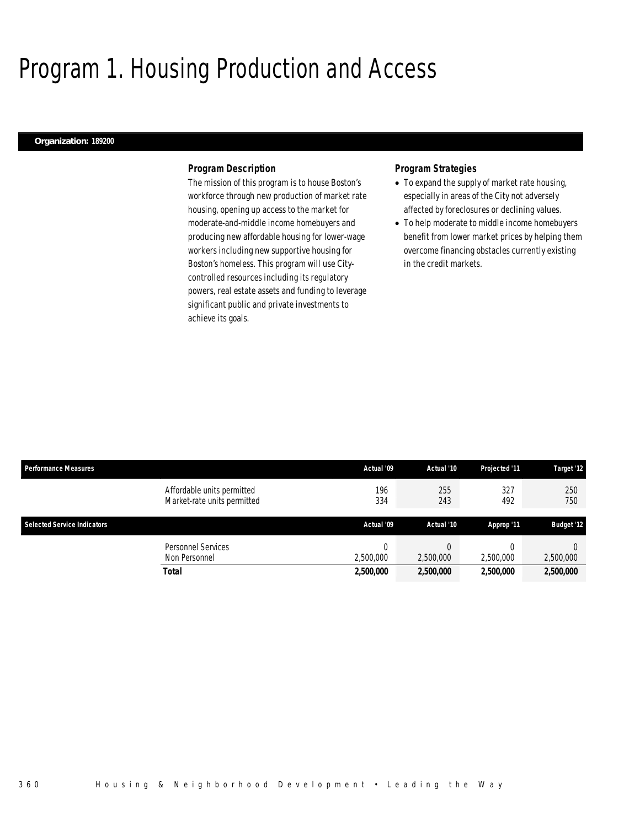## Program 1. Housing Production and Access

#### *Organization: 189200*

### *Program Description*

The mission of this program is to house Boston's workforce through new production of market rate housing, opening up access to the market for moderate-and-middle income homebuyers and producing new affordable housing for lower-wage workers including new supportive housing for Boston's homeless. This program will use Citycontrolled resources including its regulatory powers, real estate assets and funding to leverage significant public and private investments to achieve its goals.

### *Program Strategies*

- To expand the supply of market rate housing, especially in areas of the City not adversely affected by foreclosures or declining values.
- To help moderate to middle income homebuyers benefit from lower market prices by helping them overcome financing obstacles currently existing in the credit markets.

| <b>Performance Measures</b>                               | Actual '09 | Actual '10 | Projected '11 | Target '12        |
|-----------------------------------------------------------|------------|------------|---------------|-------------------|
| Affordable units permitted<br>Market-rate units permitted | 196<br>334 | 255<br>243 | 327<br>492    | 250<br>750        |
| <b>Selected Service Indicators</b>                        | Actual '09 | Actual '10 | Approp '11    | <b>Budget '12</b> |
| Personnel Services<br>Non Personnel                       | 2,500,000  | 2,500,000  | 2,500,000     | 2,500,000         |
| Total                                                     | 2,500,000  | 2,500,000  | 2,500,000     | 2,500,000         |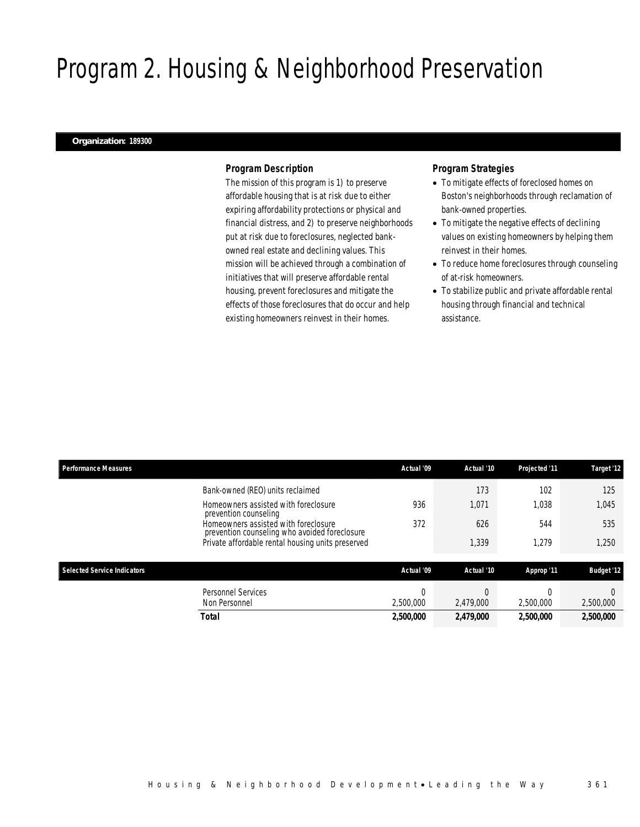## Program 2. Housing & Neighborhood Preservation

### *Organization: 189300*

### *Program Description*

The mission of this program is 1) to preserve affordable housing that is at risk due to either expiring affordability protections or physical and financial distress, and 2) to preserve neighborhoods put at risk due to foreclosures, neglected bankowned real estate and declining values. This mission will be achieved through a combination of initiatives that will preserve affordable rental housing, prevent foreclosures and mitigate the effects of those foreclosures that do occur and help existing homeowners reinvest in their homes.

## *Program Strategies*

- To mitigate effects of foreclosed homes on Boston's neighborhoods through reclamation of bank-owned properties.
- To mitigate the negative effects of declining values on existing homeowners by helping them reinvest in their homes.
- To reduce home foreclosures through counseling of at-risk homeowners.
- To stabilize public and private affordable rental housing through financial and technical assistance.

| <b>Performance Measures</b>                                                           | Actual '09            | Actual '10 | Projected '11 | Target '12        |
|---------------------------------------------------------------------------------------|-----------------------|------------|---------------|-------------------|
| Bank-owned (REO) units reclaimed                                                      |                       | 173        | 102           | 125               |
| Homeowners assisted with foreclosure<br>prevention counseling                         | 936                   | 1,071      | 1.038         | 1,045             |
| Homeowners assisted with foreclosure<br>prevention counseling who avoided foreclosure | 372                   | 626        | 544           | 535               |
| Private affordable rental housing units preserved                                     |                       | 1,339      | 1,279         | 1,250             |
| <b>Selected Service Indicators</b>                                                    | Actual '09            | Actual '10 | Approp '11    | <b>Budget '12</b> |
| <b>Personnel Services</b><br>Non Personnel                                            | $\Omega$<br>2.500.000 | 2.479.000  | 2,500,000     | 2,500,000         |
| <b>Total</b>                                                                          | 2,500,000             | 2,479,000  | 2,500,000     | 2,500,000         |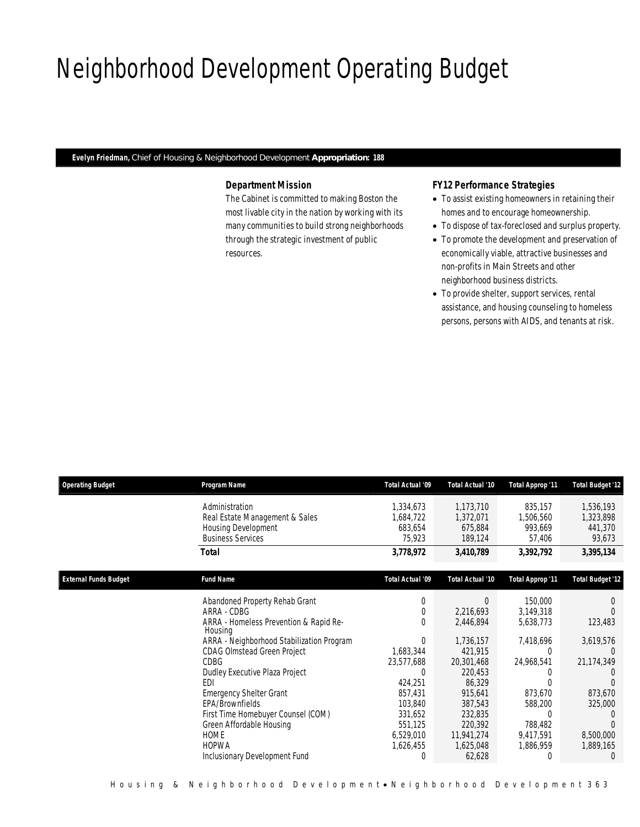## Neighborhood Development Operating Budget

*Evelyn Friedman, Chief of Housing & Neighborhood Development Appropriation: 188* 

## *Department Mission*

The Cabinet is committed to making Boston the most livable city in the nation by working with its many communities to build strong neighborhoods through the strategic investment of public resources.

## *FY12 Performance Strategies*

- To assist existing homeowners in retaining their homes and to encourage homeownership.
- To dispose of tax-foreclosed and surplus property.
- To promote the development and preservation of economically viable, attractive businesses and non-profits in Main Streets and other neighborhood business districts.
- To provide shelter, support services, rental assistance, and housing counseling to homeless persons, persons with AIDS, and tenants at risk.

| <b>Operating Budget</b>      | Program Name                                                                                                                                                                                                                                                                                                                              | Total Actual '09                                                                                                               | Total Actual '10                                                                                                                         | Total Approp '11                                                                                                | <b>Total Budget '12</b>                                                             |
|------------------------------|-------------------------------------------------------------------------------------------------------------------------------------------------------------------------------------------------------------------------------------------------------------------------------------------------------------------------------------------|--------------------------------------------------------------------------------------------------------------------------------|------------------------------------------------------------------------------------------------------------------------------------------|-----------------------------------------------------------------------------------------------------------------|-------------------------------------------------------------------------------------|
|                              | Administration<br>Real Estate Management & Sales<br><b>Housing Development</b><br><b>Business Services</b>                                                                                                                                                                                                                                | 1,334,673<br>1,684,722<br>683,654<br>75,923                                                                                    | 1,173,710<br>1,372,071<br>675,884<br>189,124                                                                                             | 835,157<br>1,506,560<br>993,669<br>57,406                                                                       | 1,536,193<br>1,323,898<br>441,370<br>93,673                                         |
|                              | Total                                                                                                                                                                                                                                                                                                                                     | 3,778,972                                                                                                                      | 3,410,789                                                                                                                                | 3,392,792                                                                                                       | 3,395,134                                                                           |
| <b>External Funds Budget</b> | <b>Fund Name</b>                                                                                                                                                                                                                                                                                                                          | <b>Total Actual '09</b>                                                                                                        | Total Actual '10                                                                                                                         | <b>Total Approp '11</b>                                                                                         | <b>Total Budget '12</b>                                                             |
|                              | Abandoned Property Rehab Grant<br>ARRA - CDBG<br>ARRA - Homeless Prevention & Rapid Re-                                                                                                                                                                                                                                                   | $\Omega$<br>$\Omega$<br>$\Omega$                                                                                               | $\Omega$<br>2,216,693<br>2,446,894                                                                                                       | 150,000<br>3,149,318<br>5,638,773                                                                               | 123,483                                                                             |
|                              | Housing<br>ARRA - Neighborhood Stabilization Program<br><b>CDAG OImstead Green Project</b><br><b>CDBG</b><br>Dudley Executive Plaza Project<br>EDI<br><b>Emergency Shelter Grant</b><br>EPA/Brownfields<br>First Time Homebuyer Counsel (COM)<br>Green Affordable Housing<br><b>HOME</b><br><b>HOPWA</b><br>Inclusionary Development Fund | $\Omega$<br>1,683,344<br>23,577,688<br>0<br>424,251<br>857,431<br>103,840<br>331,652<br>551,125<br>6,529,010<br>1,626,455<br>0 | 1,736,157<br>421,915<br>20,301,468<br>220,453<br>86,329<br>915,641<br>387,543<br>232,835<br>220,392<br>11,941,274<br>1,625,048<br>62,628 | 7,418,696<br>$\Omega$<br>24,968,541<br>873,670<br>588,200<br>$\Omega$<br>788,482<br>9,417,591<br>1,886,959<br>0 | 3,619,576<br>21,174,349<br>873,670<br>325,000<br>8,500,000<br>1,889,165<br>$\Omega$ |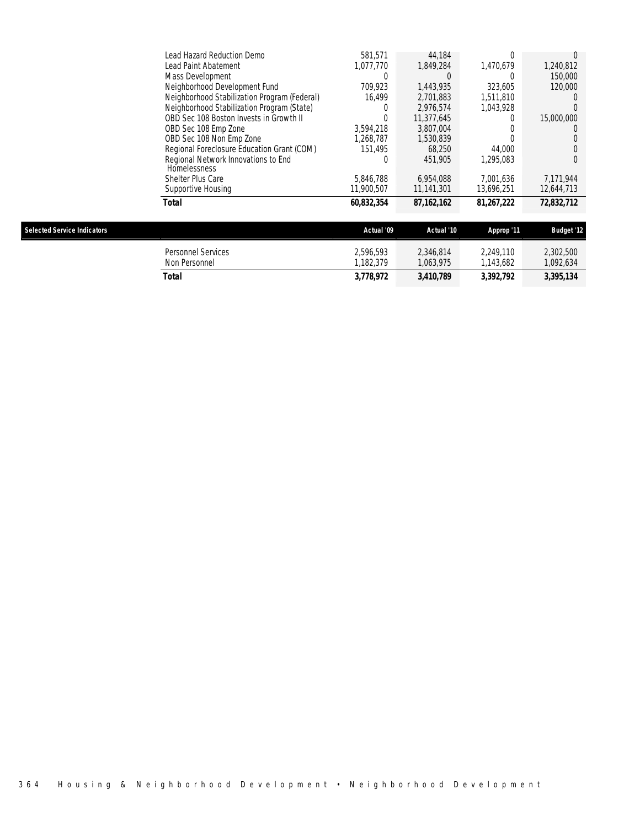| 60,832,354 | 87, 162, 162                                                                                                                                  | 81,267,222 | 72,832,712       |
|------------|-----------------------------------------------------------------------------------------------------------------------------------------------|------------|------------------|
| 11,900,507 | 11.141.301                                                                                                                                    | 13.696.251 | 12,644,713       |
| 5.846.788  | 6,954,088                                                                                                                                     | 7.001.636  | 7.171.944        |
|            |                                                                                                                                               |            |                  |
|            |                                                                                                                                               |            | 0                |
| 151.495    | 68.250                                                                                                                                        | 44,000     | 0                |
| .268.787   | 1,530,839                                                                                                                                     |            |                  |
| 3.594.218  | 3.807.004                                                                                                                                     |            | $\left( \right)$ |
| $\Omega$   | 11.377.645                                                                                                                                    |            | 15,000,000       |
|            | 2.976.574                                                                                                                                     | 1.043.928  |                  |
| 16.499     | 2.701.883                                                                                                                                     | 1.511.810  |                  |
| 709.923    | 1.443.935                                                                                                                                     | 323.605    | 120,000          |
|            |                                                                                                                                               |            | 150,000          |
| 1.077.770  | 1.849.284                                                                                                                                     | 1.470.679  | 1,240,812        |
| 581.571    | 44.184                                                                                                                                        |            |                  |
|            | Neighborhood Stabilization Program (Federal)<br>Neighborhood Stabilization Program (State)<br>Regional Foreclosure Education Grant (COM)<br>C | 451.905    | 1.295.083        |

| <b>Selected Service Indicators</b> |                                            | Actual '09            | Actual '10             | Approp '11            | <b>Budget '12</b>     |
|------------------------------------|--------------------------------------------|-----------------------|------------------------|-----------------------|-----------------------|
|                                    | <b>Personnel Services</b><br>Non Personnel | 2.596.593<br>.182.379 | 2.346.814<br>1.063.975 | 2.249.110<br>.143.682 | 2,302,500<br>,092,634 |
|                                    | Total                                      | 3,778,972             | 3,410,789              | 3,392,792             | 3,395,134             |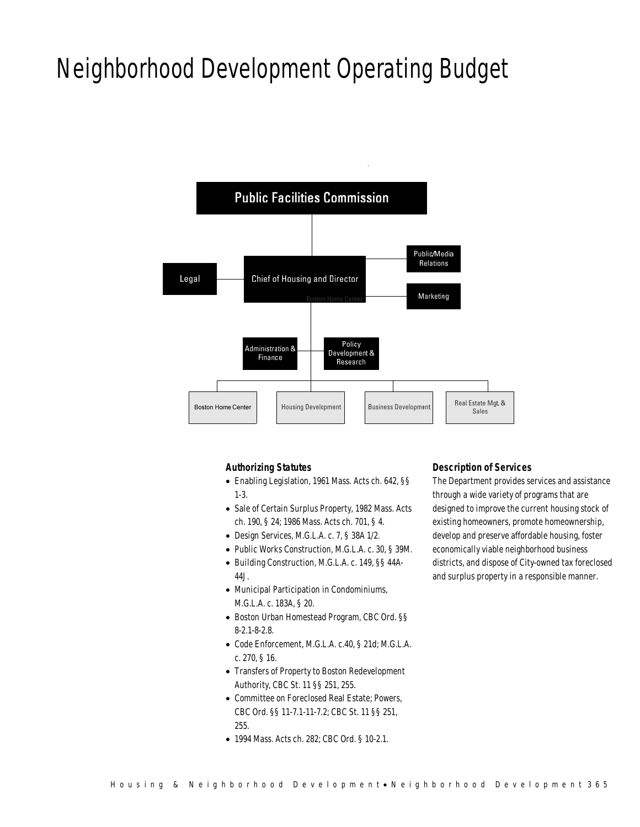## Neighborhood Development Operating Budget



### *Authorizing Statutes*

- Enabling Legislation, 1961 Mass. Acts ch. 642, §§ 1-3.
- Sale of Certain Surplus Property, 1982 Mass. Acts ch. 190, § 24; 1986 Mass. Acts ch. 701, § 4.
- Design Services, M.G.L.A. c. 7, § 38A 1/2.
- Public Works Construction, M.G.L.A. c. 30, § 39M.
- Building Construction, M.G.L.A. c. 149, §§ 44A-44J.
- Municipal Participation in Condominiums, M.G.L.A. c. 183A, § 20.
- Boston Urban Homestead Program, CBC Ord. §§ 8-2.1-8-2.8.
- Code Enforcement, M.G.L.A. c.40, § 21d; M.G.L.A. c. 270, § 16.
- Transfers of Property to Boston Redevelopment Authority, CBC St. 11 §§ 251, 255.
- Committee on Foreclosed Real Estate; Powers, CBC Ord. §§ 11-7.1-11-7.2; CBC St. 11 §§ 251, 255.
- 1994 Mass. Acts ch. 282; CBC Ord. § 10-2.1.

#### *Description of Services*

The Department provides services and assistance through a wide variety of programs that are designed to improve the current housing stock of existing homeowners, promote homeownership, develop and preserve affordable housing, foster economically viable neighborhood business districts, and dispose of City-owned tax foreclosed and surplus property in a responsible manner.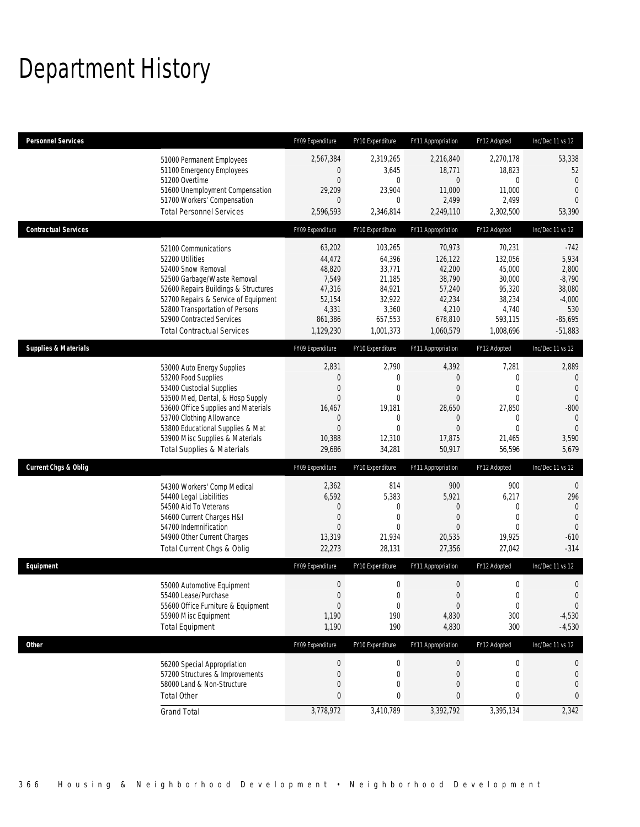## Department History

| Personnel Services              |                                                                                                                                                                                                                                                                                                      | FY09 Expenditure                                                                                              | FY10 Expenditure                                                                                                 | FY11 Appropriation                                                                                                     | FY12 Adopted                                                                                                  | Inc/Dec 11 vs 12                                                                                           |
|---------------------------------|------------------------------------------------------------------------------------------------------------------------------------------------------------------------------------------------------------------------------------------------------------------------------------------------------|---------------------------------------------------------------------------------------------------------------|------------------------------------------------------------------------------------------------------------------|------------------------------------------------------------------------------------------------------------------------|---------------------------------------------------------------------------------------------------------------|------------------------------------------------------------------------------------------------------------|
|                                 | 51000 Permanent Employees<br>51100 Emergency Employees<br>51200 Overtime<br>51600 Unemployment Compensation<br>51700 Workers' Compensation<br><b>Total Personnel Services</b>                                                                                                                        | 2,567,384<br>$\mathbf 0$<br>$\overline{0}$<br>29,209<br>$\mathbf{0}$<br>2,596,593                             | 2,319,265<br>3,645<br>$\mathbf 0$<br>23,904<br>$\mathbf 0$<br>2,346,814                                          | 2,216,840<br>18,771<br>$\mathbf 0$<br>11,000<br>2,499<br>2,249,110                                                     | 2,270,178<br>18,823<br>0<br>11,000<br>2,499<br>2,302,500                                                      | 53,338<br>52<br>$\overline{0}$<br>$\overline{0}$<br>$\Omega$<br>53,390                                     |
| <b>Contractual Services</b>     |                                                                                                                                                                                                                                                                                                      | FY09 Expenditure                                                                                              | FY10 Expenditure                                                                                                 | FY11 Appropriation                                                                                                     | FY12 Adopted                                                                                                  | Inc/Dec 11 vs 12                                                                                           |
|                                 | 52100 Communications<br>52200 Utilities<br>52400 Snow Removal<br>52500 Garbage/Waste Removal<br>52600 Repairs Buildings & Structures<br>52700 Repairs & Service of Equipment<br>52800 Transportation of Persons<br>52900 Contracted Services<br><b>Total Contractual Services</b>                    | 63,202<br>44,472<br>48,820<br>7,549<br>47,316<br>52,154<br>4,331<br>861,386<br>1,129,230                      | 103,265<br>64,396<br>33,771<br>21,185<br>84,921<br>32,922<br>3,360<br>657,553<br>1,001,373                       | 70,973<br>126,122<br>42,200<br>38,790<br>57,240<br>42,234<br>4,210<br>678,810<br>1,060,579                             | 70,231<br>132,056<br>45,000<br>30,000<br>95,320<br>38,234<br>4,740<br>593,115<br>1,008,696                    | $-742$<br>5,934<br>2,800<br>$-8,790$<br>38,080<br>$-4,000$<br>530<br>$-85,695$<br>$-51,883$                |
| <b>Supplies &amp; Materials</b> |                                                                                                                                                                                                                                                                                                      | FY09 Expenditure                                                                                              | FY10 Expenditure                                                                                                 | FY11 Appropriation                                                                                                     | FY12 Adopted                                                                                                  | Inc/Dec 11 vs 12                                                                                           |
|                                 | 53000 Auto Energy Supplies<br>53200 Food Supplies<br>53400 Custodial Supplies<br>53500 Med, Dental, & Hosp Supply<br>53600 Office Supplies and Materials<br>53700 Clothing Allowance<br>53800 Educational Supplies & Mat<br>53900 Misc Supplies & Materials<br><b>Total Supplies &amp; Materials</b> | 2,831<br>$\boldsymbol{0}$<br>0<br>$\overline{0}$<br>16,467<br>$\mathbf 0$<br>$\mathbf{0}$<br>10,388<br>29,686 | 2,790<br>$\mathbf 0$<br>$\mathbf 0$<br>$\mathbf{0}$<br>19,181<br>$\mathbf 0$<br>$\mathbf{0}$<br>12,310<br>34,281 | 4,392<br>$\boldsymbol{0}$<br>$\mathbf{0}$<br>$\mathbf{0}$<br>28,650<br>$\mathbf 0$<br>$\mathbf{0}$<br>17,875<br>50,917 | 7,281<br>$\mathbf 0$<br>$\overline{0}$<br>$\overline{0}$<br>27,850<br>0<br>$\overline{0}$<br>21,465<br>56,596 | 2,889<br>$\mathbf 0$<br>$\overline{0}$<br>$\mathbf{0}$<br>$-800$<br>$\theta$<br>$\theta$<br>3,590<br>5,679 |
| <b>Current Chgs &amp; Oblig</b> |                                                                                                                                                                                                                                                                                                      | FY09 Expenditure                                                                                              | FY10 Expenditure                                                                                                 | FY11 Appropriation                                                                                                     | FY12 Adopted                                                                                                  | Inc/Dec 11 vs 12                                                                                           |
|                                 | 54300 Workers' Comp Medical<br>54400 Legal Liabilities<br>54500 Aid To Veterans<br>54600 Current Charges H&I<br>54700 Indemnification<br>54900 Other Current Charges<br>Total Current Chgs & Oblig                                                                                                   | 2,362<br>6,592<br>0<br>$\mathbf 0$<br>$\overline{0}$<br>13,319<br>22,273                                      | 814<br>5,383<br>0<br>$\mathbf{0}$<br>$\Omega$<br>21,934<br>28,131                                                | 900<br>5,921<br>$\mathbf 0$<br>$\boldsymbol{0}$<br>$\mathbf{0}$<br>20,535<br>27,356                                    | 900<br>6,217<br>$\mathbf{0}$<br>$\overline{0}$<br>$\Omega$<br>19,925<br>27,042                                | $\overline{0}$<br>296<br>$\overline{0}$<br>$\mathbf{0}$<br>$\overline{0}$<br>$-610$<br>$-314$              |
| Equipment                       |                                                                                                                                                                                                                                                                                                      | FY09 Expenditure                                                                                              | FY10 Expenditure                                                                                                 | FY11 Appropriation                                                                                                     | FY12 Adopted                                                                                                  | Inc/Dec 11 vs 12                                                                                           |
|                                 | 55000 Automotive Equipment<br>55400 Lease/Purchase<br>55600 Office Furniture & Equipment<br>55900 Misc Equipment<br><b>Total Equipment</b>                                                                                                                                                           | $\boldsymbol{0}$<br>$\boldsymbol{0}$<br>$\boldsymbol{0}$<br>1,190<br>1,190                                    | $\mathbf 0$<br>0<br>$\boldsymbol{0}$<br>190<br>190                                                               | $\boldsymbol{0}$<br>$\mathbf{0}$<br>$\boldsymbol{0}$<br>4,830<br>4,830                                                 | 0<br>0<br>$\pmb{0}$<br>300<br>300                                                                             | $\mathbf 0$<br>$\mathbf{0}$<br>$\mathbf 0$<br>$-4,530$<br>$-4,530$                                         |
| <b>Other</b>                    |                                                                                                                                                                                                                                                                                                      | FY09 Expenditure                                                                                              | FY10 Expenditure                                                                                                 | FY11 Appropriation                                                                                                     | FY12 Adopted                                                                                                  | Inc/Dec 11 vs 12                                                                                           |
|                                 | 56200 Special Appropriation<br>57200 Structures & Improvements<br>58000 Land & Non-Structure<br><b>Total Other</b>                                                                                                                                                                                   | $\boldsymbol{0}$<br>$\boldsymbol{0}$<br>0<br>$\pmb{0}$                                                        | 0<br>$\boldsymbol{0}$<br>0<br>0                                                                                  | $\bf{0}$<br>$\boldsymbol{0}$<br>$\mathbf 0$<br>0                                                                       | $\boldsymbol{0}$<br>0<br>$\mathbf{0}$<br>0                                                                    | $\theta$<br>$\mathbf 0$<br>0<br>0                                                                          |
|                                 | <b>Grand Total</b>                                                                                                                                                                                                                                                                                   | 3,778,972                                                                                                     | 3,410,789                                                                                                        | 3,392,792                                                                                                              | 3,395,134                                                                                                     | 2,342                                                                                                      |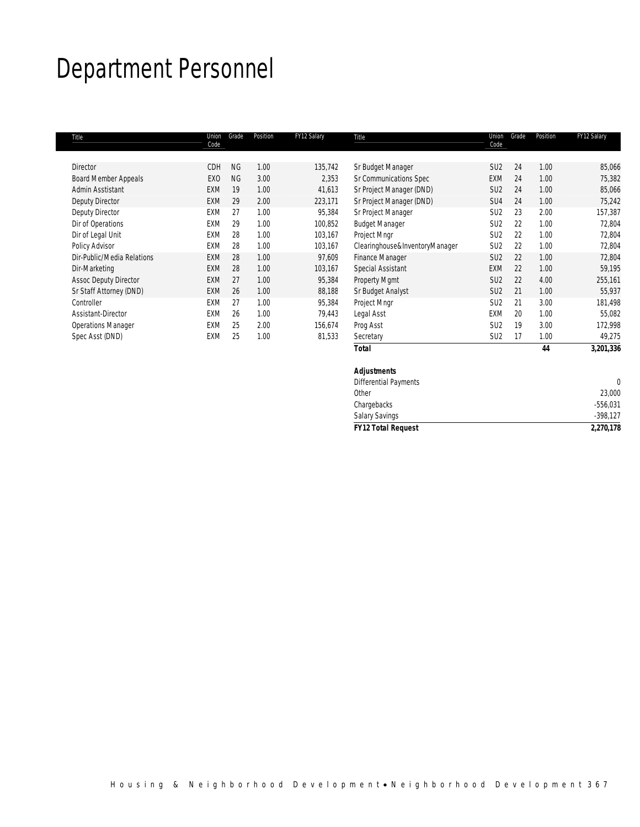## Department Personnel

| Title                        | Union<br>Code   | Grade     | Position | FY12 Salary | Title                          | Union<br>Code   | Grade | Position | FY12 Salary |
|------------------------------|-----------------|-----------|----------|-------------|--------------------------------|-----------------|-------|----------|-------------|
| <b>Director</b>              | CDH             | <b>NG</b> | 1.00     | 135,742     | Sr Budget Manager              | SU <sub>2</sub> | 24    | 1.00     | 85,066      |
| <b>Board Member Appeals</b>  | EX <sub>0</sub> | <b>NG</b> | 3.00     | 2,353       | Sr Communications Spec         | EXM             | 24    | 1.00     | 75,382      |
| Admin Asstistant             | <b>EXM</b>      | 19        | 1.00     | 41,613      | Sr Project Manager (DND)       | SU <sub>2</sub> | 24    | 1.00     | 85,066      |
| Deputy Director              | <b>EXM</b>      | 29        | 2.00     | 223,171     | Sr Project Manager (DND)       | SU <sub>4</sub> | 24    | 1.00     | 75,242      |
| Deputy Director              | EXM             | 27        | 1.00     | 95,384      | Sr Project Manager             | SU <sub>2</sub> | 23    | 2.00     | 157,387     |
| Dir of Operations            | EXM             | 29        | 1.00     | 100,852     | <b>Budget Manager</b>          | SU <sub>2</sub> | 22    | 1.00     | 72,804      |
| Dir of Legal Unit            | <b>EXM</b>      | 28        | 1.00     | 103,167     | Project Mngr                   | SU <sub>2</sub> | 22    | 1.00     | 72,804      |
| Policy Advisor               | EXM             | 28        | 1.00     | 103,167     | Clearinghouse&InventoryManager | SU <sub>2</sub> | 22    | 1.00     | 72,804      |
| Dir-Public/Media Relations   | <b>EXM</b>      | 28        | 1.00     | 97,609      | <b>Finance Manager</b>         | SU <sub>2</sub> | 22    | 1.00     | 72,804      |
| Dir-Marketing                | <b>EXM</b>      | 28        | 1.00     | 103,167     | Special Assistant              | EXM             | 22    | 1.00     | 59,195      |
| <b>Assoc Deputy Director</b> | <b>EXM</b>      | 27        | 1.00     | 95,384      | Property Mgmt                  | SU <sub>2</sub> | 22    | 4.00     | 255,161     |
| Sr Staff Attorney (DND)      | <b>EXM</b>      | 26        | 1.00     | 88,188      | Sr Budget Analyst              | SU <sub>2</sub> | 21    | 1.00     | 55,937      |
| Controller                   | EXM             | 27        | 1.00     | 95,384      | Project Mngr                   | SU <sub>2</sub> | 21    | 3.00     | 181,498     |
| Assistant-Director           | EXM             | 26        | 1.00     | 79,443      | Legal Asst                     | EXM             | 20    | 1.00     | 55,082      |
| <b>Operations Manager</b>    | EXM             | 25        | 2.00     | 156,674     | Prog Asst                      | SU <sub>2</sub> | 19    | 3.00     | 172,998     |
| Spec Asst (DND)              | EXM             | 25        | 1.00     | 81,533      | Secretary                      | SU <sub>2</sub> | 17    | 1.00     | 49,275      |
|                              |                 |           |          |             | <b>Total</b>                   |                 |       | 44       | 3,201,336   |

| <b>FY12 Total Request</b> | 2,270,178  |
|---------------------------|------------|
| <b>Salary Savings</b>     | $-398,127$ |
| Chargebacks               | $-556,031$ |
| Other                     | 23,000     |
| Differential Payments     |            |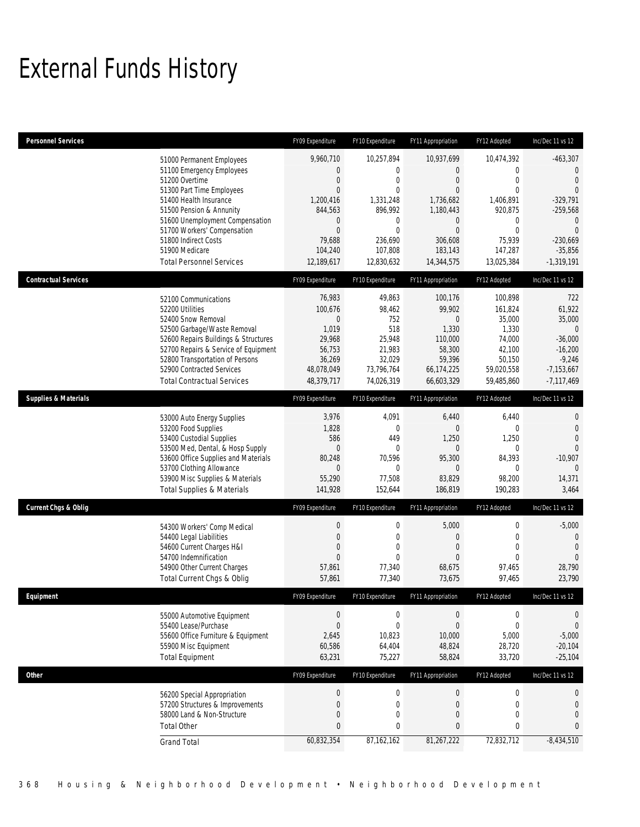# External Funds History

| <b>Personnel Services</b>       |                                                                         | FY09 Expenditure           | FY10 Expenditure      | FY11 Appropriation            | FY12 Adopted           | Inc/Dec 11 vs 12                 |
|---------------------------------|-------------------------------------------------------------------------|----------------------------|-----------------------|-------------------------------|------------------------|----------------------------------|
|                                 | 51000 Permanent Employees                                               | 9,960,710                  | 10,257,894            | 10,937,699                    | 10,474,392             | $-463,307$                       |
|                                 | 51100 Emergency Employees                                               | 0                          | $\mathbf 0$           | $\overline{0}$                | $\mathbf 0$            | $\theta$                         |
|                                 | 51200 Overtime                                                          | $\boldsymbol{0}$           | $\mathbf{0}$          | $\boldsymbol{0}$              | $\mathbf 0$            | $\overline{0}$                   |
|                                 | 51300 Part Time Employees                                               | $\mathbf{0}$               | $\mathbf{0}$          | $\overline{0}$                | $\Omega$               | $\mathbf{0}$                     |
|                                 | 51400 Health Insurance<br>51500 Pension & Annunity                      | 1,200,416<br>844,563       | 1,331,248<br>896,992  | 1,736,682<br>1,180,443        | 1,406,891<br>920,875   | $-329,791$<br>$-259,568$         |
|                                 | 51600 Unemployment Compensation                                         | 0                          | $\mathbf{0}$          | 0                             | 0                      | $\overline{0}$                   |
|                                 | 51700 Workers' Compensation                                             | $\mathbf{0}$               | $\mathbf{0}$          | $\overline{0}$                | $\mathbf{0}$           | $\overline{0}$                   |
|                                 | 51800 Indirect Costs                                                    | 79,688                     | 236,690               | 306,608                       | 75,939                 | $-230.669$                       |
|                                 | 51900 Medicare<br><b>Total Personnel Services</b>                       | 104,240<br>12,189,617      | 107,808<br>12,830,632 | 183,143<br>14,344,575         | 147,287<br>13,025,384  | $-35,856$<br>$-1,319,191$        |
|                                 |                                                                         |                            |                       |                               |                        |                                  |
| <b>Contractual Services</b>     |                                                                         | FY09 Expenditure           | FY10 Expenditure      | FY11 Appropriation            | FY12 Adopted           | Inc/Dec 11 vs 12                 |
|                                 | 52100 Communications                                                    | 76,983                     | 49,863                | 100,176                       | 100,898                | 722                              |
|                                 | 52200 Utilities                                                         | 100,676                    | 98,462                | 99,902                        | 161,824                | 61,922                           |
|                                 | 52400 Snow Removal                                                      | 0                          | 752                   | 0                             | 35,000                 | 35,000                           |
|                                 | 52500 Garbage/Waste Removal<br>52600 Repairs Buildings & Structures     | 1,019<br>29,968            | 518<br>25,948         | 1,330<br>110,000              | 1,330<br>74,000        | $\overline{0}$<br>$-36,000$      |
|                                 | 52700 Repairs & Service of Equipment                                    | 56,753                     | 21,983                | 58,300                        | 42,100                 | $-16,200$                        |
|                                 | 52800 Transportation of Persons                                         | 36,269                     | 32,029                | 59,396                        | 50,150                 | $-9,246$                         |
|                                 | 52900 Contracted Services                                               | 48,078,049                 | 73,796,764            | 66,174,225                    | 59,020,558             | $-7,153,667$                     |
|                                 | <b>Total Contractual Services</b>                                       | 48,379,717                 | 74,026,319            | 66,603,329                    | 59,485,860             | $-7,117,469$                     |
| <b>Supplies &amp; Materials</b> |                                                                         | FY09 Expenditure           | FY10 Expenditure      | FY11 Appropriation            | FY12 Adopted           | Inc/Dec 11 vs 12                 |
|                                 | 53000 Auto Energy Supplies                                              | 3,976                      | 4,091                 | 6,440                         | 6,440                  | $\theta$                         |
|                                 | 53200 Food Supplies                                                     | 1,828                      | $\mathbf{0}$          | $\overline{0}$                | $\mathbf 0$            | $\mathbf 0$                      |
|                                 | 53400 Custodial Supplies                                                | 586                        | 449                   | 1,250                         | 1,250                  | $\Omega$                         |
|                                 | 53500 Med, Dental, & Hosp Supply<br>53600 Office Supplies and Materials | $\boldsymbol{0}$<br>80,248 | $\mathbf 0$<br>70,596 | 0<br>95,300                   | $\mathbf{0}$<br>84,393 | $\theta$<br>$-10,907$            |
|                                 | 53700 Clothing Allowance                                                | 0                          | $\mathbf{0}$          | $\mathbf 0$                   | $\mathbf 0$            | $\overline{0}$                   |
|                                 | 53900 Misc Supplies & Materials                                         | 55,290                     | 77,508                | 83,829                        | 98,200                 | 14,371                           |
|                                 | <b>Total Supplies &amp; Materials</b>                                   | 141,928                    | 152,644               | 186,819                       | 190,283                | 3,464                            |
| <b>Current Chgs &amp; Oblig</b> |                                                                         | FY09 Expenditure           | FY10 Expenditure      | FY11 Appropriation            | FY12 Adopted           | Inc/Dec 11 vs 12                 |
|                                 | 54300 Workers' Comp Medical                                             | 0                          | $\mathbf 0$           | 5,000                         | 0                      | $-5,000$                         |
|                                 | 54400 Legal Liabilities                                                 | $\mathbf 0$                | $\mathbf 0$           | $\boldsymbol{0}$              | 0                      | $\overline{0}$                   |
|                                 | 54600 Current Charges H&I                                               | 0                          | $\theta$              | $\boldsymbol{0}$              | $\mathbf{0}$           | $\theta$                         |
|                                 | 54700 Indemnification                                                   | $\overline{0}$             | $\Omega$              | $\theta$                      | $\Omega$               | $\Omega$                         |
|                                 | 54900 Other Current Charges<br>Total Current Chgs & Oblig               | 57,861<br>57,861           | 77,340<br>77,340      | 68,675<br>73,675              | 97,465<br>97,465       | 28,790<br>23,790                 |
|                                 |                                                                         |                            |                       |                               |                        |                                  |
| <b>Fauinment</b>                |                                                                         | FY09 Expenditure           | FY10 Expenditure      | FY11 Appropriation            | FY12 Adopted           | Inc/Dec 11 vs 12                 |
|                                 | 55000 Automotive Equipment                                              | $\boldsymbol{0}$           | $\mathbf 0$           | $\boldsymbol{0}$              | 0                      | 0                                |
|                                 | 55400 Lease/Purchase                                                    | $\mathbf 0$                | $\mathbf{0}$          | $\overline{0}$                | $\mathbf{0}$           | $\overline{0}$                   |
|                                 | 55600 Office Furniture & Equipment                                      | 2,645                      | 10,823                | 10,000                        | 5,000                  | $-5,000$                         |
|                                 | 55900 Misc Equipment<br><b>Total Equipment</b>                          | 60,586<br>63,231           | 64,404<br>75,227      | 48,824<br>58,824              | 28,720<br>33,720       | $-20,104$<br>$-25,104$           |
|                                 |                                                                         |                            |                       |                               |                        |                                  |
| Other                           |                                                                         | FY09 Expenditure           | FY10 Expenditure      | FY11 Appropriation            | FY12 Adopted           | Inc/Dec 11 vs 12                 |
|                                 | 56200 Special Appropriation                                             | $\boldsymbol{0}$           | $\boldsymbol{0}$      | $\boldsymbol{0}$              | $\boldsymbol{0}$       | 0                                |
|                                 | 57200 Structures & Improvements                                         | $\mathbf 0$                | $\mathbf 0$           | $\boldsymbol{0}$              | $\mathbf 0$            | $\mathbf 0$                      |
|                                 | 58000 Land & Non-Structure                                              | 0<br>0                     | $\mathbf 0$           | $\boldsymbol{0}$<br>$\pmb{0}$ | $\mathbf 0$            | $\boldsymbol{0}$<br>$\mathbf{0}$ |
|                                 | <b>Total Other</b>                                                      |                            | 0                     |                               | 0                      |                                  |
|                                 | <b>Grand Total</b>                                                      | 60,832,354                 | 87, 162, 162          | 81,267,222                    | 72,832,712             | $-8,434,510$                     |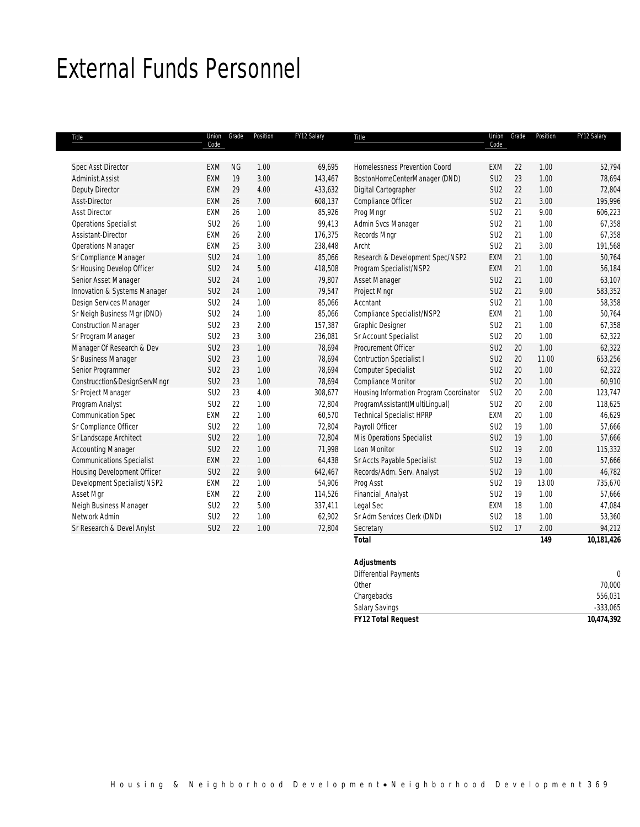## External Funds Personnel

| Title                            | Union<br>Code   | Grade     | Position | FY12 Salary | Title                                   | Union<br>Code   | Grade | Position | FY12 Salary |
|----------------------------------|-----------------|-----------|----------|-------------|-----------------------------------------|-----------------|-------|----------|-------------|
|                                  |                 |           |          |             |                                         |                 |       |          |             |
| <b>Spec Asst Director</b>        | <b>EXM</b>      | <b>NG</b> | 1.00     | 69,695      | Homelessness Prevention Coord           | <b>EXM</b>      | 22    | 1.00     | 52,794      |
| Administ.Assist                  | EXM             | 19        | 3.00     | 143,467     | BostonHomeCenterManager (DND)           | SU <sub>2</sub> | 23    | 1.00     | 78,694      |
| Deputy Director                  | <b>EXM</b>      | 29        | 4.00     | 433,632     | Digital Cartographer                    | SU <sub>2</sub> | 22    | 1.00     | 72,804      |
| Asst-Director                    | <b>EXM</b>      | 26        | 7.00     | 608,137     | Compliance Officer                      | SU <sub>2</sub> | 21    | 3.00     | 195,996     |
| <b>Asst Director</b>             | EXM             | 26        | 1.00     | 85,926      | Prog Mngr                               | SU <sub>2</sub> | 21    | 9.00     | 606,223     |
| <b>Operations Specialist</b>     | SU <sub>2</sub> | 26        | 1.00     | 99,413      | Admin Svcs Manager                      | SU <sub>2</sub> | 21    | 1.00     | 67,358      |
| Assistant-Director               | <b>EXM</b>      | 26        | 2.00     | 176,375     | Records Mngr                            | SU <sub>2</sub> | 21    | 1.00     | 67,358      |
| <b>Operations Manager</b>        | <b>EXM</b>      | 25        | 3.00     | 238,448     | Archt                                   | SU <sub>2</sub> | 21    | 3.00     | 191,568     |
| Sr Compliance Manager            | SU <sub>2</sub> | 24        | 1.00     | 85,066      | Research & Development Spec/NSP2        | EXM             | 21    | 1.00     | 50,764      |
| Sr Housing Develop Officer       | SU <sub>2</sub> | 24        | 5.00     | 418,508     | Program Specialist/NSP2                 | EXM             | 21    | 1.00     | 56,184      |
| Senior Asset Manager             | SU <sub>2</sub> | 24        | 1.00     | 79,807      | Asset Manager                           | SU <sub>2</sub> | 21    | 1.00     | 63,107      |
| Innovation & Systems Manager     | SU <sub>2</sub> | 24        | 1.00     | 79,547      | Project Mngr                            | SU <sub>2</sub> | 21    | 9.00     | 583,352     |
| Design Services Manager          | SU <sub>2</sub> | 24        | 1.00     | 85,066      | Accntant                                | SU <sub>2</sub> | 21    | 1.00     | 58,358      |
| Sr Neigh Business Mgr (DND)      | SU <sub>2</sub> | 24        | 1.00     | 85,066      | Compliance Specialist/NSP2              | EXM             | 21    | 1.00     | 50,764      |
| <b>Construction Manager</b>      | SU <sub>2</sub> | 23        | 2.00     | 157,387     | <b>Graphic Designer</b>                 | SU <sub>2</sub> | 21    | 1.00     | 67,358      |
| Sr Program Manager               | SU <sub>2</sub> | 23        | 3.00     | 236,081     | Sr Account Specialist                   | SU <sub>2</sub> | 20    | 1.00     | 62,322      |
| Manager Of Research & Dev        | SU <sub>2</sub> | 23        | 1.00     | 78,694      | Procurement Officer                     | SU <sub>2</sub> | 20    | 1.00     | 62,322      |
| Sr Business Manager              | SU <sub>2</sub> | 23        | 1.00     | 78,694      | <b>Contruction Specialist I</b>         | SU <sub>2</sub> | 20    | 11.00    | 653,256     |
| Senior Programmer                | SU <sub>2</sub> | 23        | 1.00     | 78,694      | <b>Computer Specialist</b>              | SU <sub>2</sub> | 20    | 1.00     | 62,322      |
| Construcction&DesignServMngr     | SU <sub>2</sub> | 23        | 1.00     | 78,694      | <b>Compliance Monitor</b>               | SU <sub>2</sub> | 20    | 1.00     | 60,910      |
| Sr Project Manager               | SU <sub>2</sub> | 23        | 4.00     | 308,677     | Housing Information Program Coordinator | SU <sub>2</sub> | 20    | 2.00     | 123,747     |
| Program Analyst                  | SU <sub>2</sub> | 22        | 1.00     | 72,804      | ProgramAssistant(MultiLingual)          | SU <sub>2</sub> | 20    | 2.00     | 118,625     |
| <b>Communication Spec</b>        | EXM             | 22        | 1.00     | 60,570      | <b>Technical Specialist HPRP</b>        | EXM             | 20    | 1.00     | 46,629      |
| Sr Compliance Officer            | SU <sub>2</sub> | 22        | 1.00     | 72,804      | Payroll Officer                         | SU <sub>2</sub> | 19    | 1.00     | 57,666      |
| Sr Landscape Architect           | SU <sub>2</sub> | 22        | 1.00     | 72,804      | Mis Operations Specialist               | SU <sub>2</sub> | 19    | 1.00     | 57,666      |
| <b>Accounting Manager</b>        | SU <sub>2</sub> | 22        | 1.00     | 71,998      | Loan Monitor                            | SU <sub>2</sub> | 19    | 2.00     | 115,332     |
| <b>Communications Specialist</b> | <b>EXM</b>      | 22        | 1.00     | 64,438      | Sr Accts Payable Specialist             | SU <sub>2</sub> | 19    | 1.00     | 57,666      |
| Housing Development Officer      | SU <sub>2</sub> | 22        | 9.00     | 642,467     | Records/Adm. Serv. Analyst              | SU <sub>2</sub> | 19    | 1.00     | 46,782      |
| Development Specialist/NSP2      | <b>EXM</b>      | 22        | 1.00     | 54,906      | Prog Asst                               | SU <sub>2</sub> | 19    | 13.00    | 735,670     |
| Asset Mgr                        | EXM             | 22        | 2.00     | 114,526     | Financial_Analyst                       | SU <sub>2</sub> | 19    | 1.00     | 57,666      |
| Neigh Business Manager           | SU <sub>2</sub> | 22        | 5.00     | 337,411     | Legal Sec                               | EXM             | 18    | 1.00     | 47,084      |
| Network Admin                    | SU <sub>2</sub> | 22        | 1.00     | 62,902      | Sr Adm Services Clerk (DND)             | SU <sub>2</sub> | 18    | 1.00     | 53,360      |
| Sr Research & Devel Anylst       | SU <sub>2</sub> | 22        | 1.00     | 72,804      | Secretary                               | SU <sub>2</sub> | 17    | 2.00     | 94,212      |
|                                  |                 |           |          |             | <b>Total</b>                            |                 |       | 149      | 10,181,426  |

#### *Adjustments*

| <b>FY12 Total Request</b> | 10,474,392 |
|---------------------------|------------|
| <b>Salary Savings</b>     | $-333,065$ |
| Chargebacks               | 556,031    |
| Other                     | 70,000     |
| Differential Payments     |            |
| .                         |            |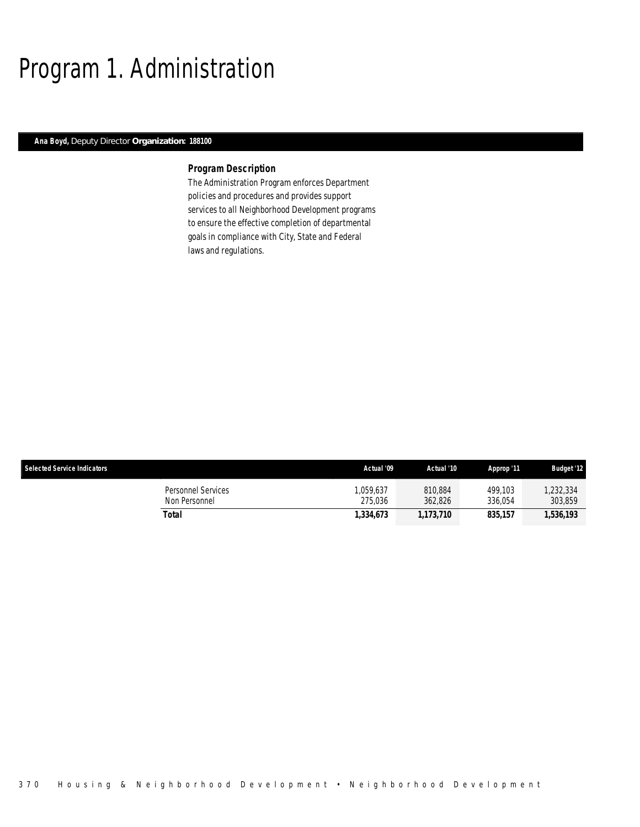## Program 1. Administration

## *Ana Boyd, Deputy Director Organization: 188100*

## *Program Description*

The Administration Program enforces Department policies and procedures and provides support services to all Neighborhood Development programs to ensure the effective completion of departmental goals in compliance with City, State and Federal laws and regulations.

| <b>Selected Service Indicators</b>         | Actual '09          | Actual '10         | Approp '11         | <b>Budget '12</b>    |
|--------------------------------------------|---------------------|--------------------|--------------------|----------------------|
| <b>Personnel Services</b><br>Non Personnel | .059.637<br>275.036 | 810.884<br>362.826 | 499.103<br>336.054 | 1,232,334<br>303,859 |
| Total                                      | 1,334,673           | 1,173,710          | 835.157            | 1.536.193            |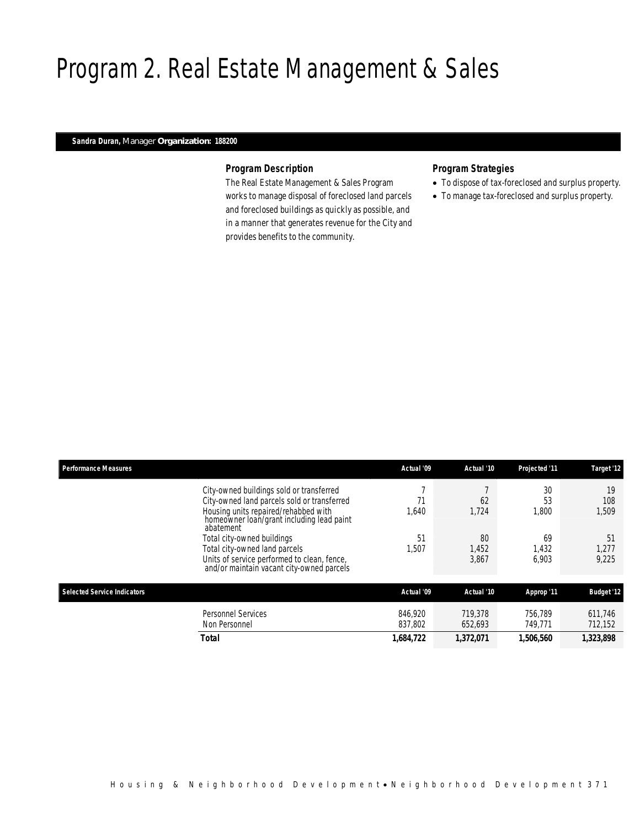## Program 2. Real Estate Management & Sales

## *Sandra Duran, Manager Organization: 188200*

## *Program Description*

The Real Estate Management & Sales Program works to manage disposal of foreclosed land parcels and foreclosed buildings as quickly as possible, and in a manner that generates revenue for the City and provides benefits to the community.

## *Program Strategies*

- To dispose of tax-foreclosed and surplus property.
- To manage tax-foreclosed and surplus property.

| <b>Performance Measures</b>                                                                                                                                                  | Actual '09         | Actual '10           | Projected '11        | Target '12           |
|------------------------------------------------------------------------------------------------------------------------------------------------------------------------------|--------------------|----------------------|----------------------|----------------------|
| City-owned buildings sold or transferred<br>City-owned land parcels sold or transferred<br>Housing units repaired/rehabbed with<br>homeowner loan/grant including lead paint | 640, ا             | 62<br>1,724          | 30<br>53<br>1,800    | 19<br>108<br>1,509   |
| abatement<br>Total city-owned buildings<br>Total city-owned land parcels<br>Units of service performed to clean, fence,<br>and/or maintain vacant city-owned parcels         | 51<br>1,507        | 80<br>1,452<br>3,867 | 69<br>1,432<br>6.903 | 51<br>1,277<br>9.225 |
| <b>Selected Service Indicators</b>                                                                                                                                           | Actual '09         | Actual '10           | Approp '11           | <b>Budget '12</b>    |
| Personnel Services<br>Non Personnel                                                                                                                                          | 846.920<br>837.802 | 719.378<br>652.693   | 756.789<br>749.771   | 611.746<br>712,152   |
| <b>Total</b>                                                                                                                                                                 | 1,684,722          | 1,372,071            | 1,506,560            | 1,323,898            |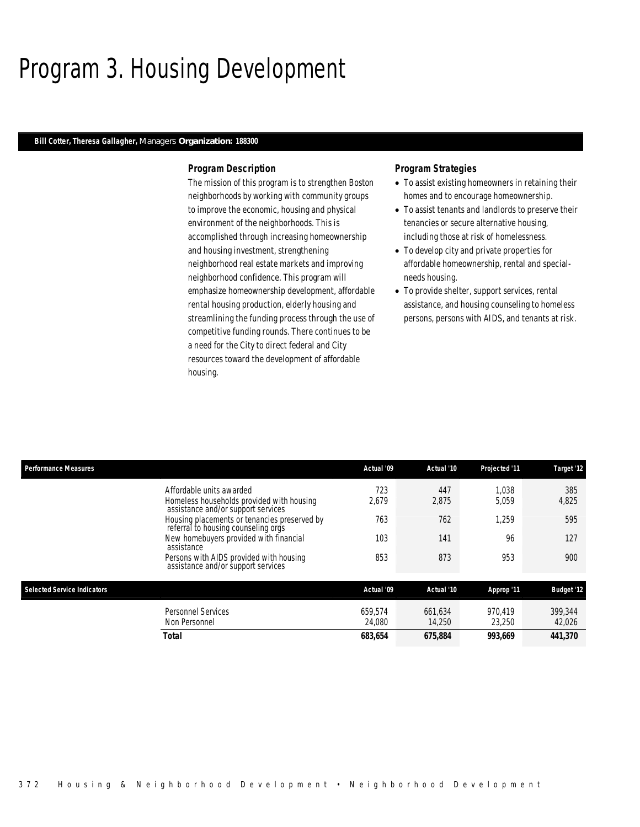## Program 3. Housing Development

### *Bill Cotter, Theresa Gallagher, Managers Organization: 188300*

### *Program Description*

The mission of this program is to strengthen Boston neighborhoods by working with community groups to improve the economic, housing and physical environment of the neighborhoods. This is accomplished through increasing homeownership and housing investment, strengthening neighborhood real estate markets and improving neighborhood confidence. This program will emphasize homeownership development, affordable rental housing production, elderly housing and streamlining the funding process through the use of competitive funding rounds. There continues to be a need for the City to direct federal and City resources toward the development of affordable housing.

### *Program Strategies*

- To assist existing homeowners in retaining their homes and to encourage homeownership.
- To assist tenants and landlords to preserve their tenancies or secure alternative housing, including those at risk of homelessness.
- To develop city and private properties for affordable homeownership, rental and specialneeds housing.
- To provide shelter, support services, rental assistance, and housing counseling to homeless persons, persons with AIDS, and tenants at risk.

| <b>Performance Measures</b> |                                                                                                             | Actual '09        | Actual '10        | Projected '11     | Target '12        |
|-----------------------------|-------------------------------------------------------------------------------------------------------------|-------------------|-------------------|-------------------|-------------------|
|                             | Affordable units awarded<br>Homeless households provided with housing<br>assistance and/or support services | 723<br>2,679      | 447<br>2,875      | 1.038<br>5.059    | 385<br>4,825      |
|                             | Housing placements or tenancies preserved by<br>referral to housing counseling orgs                         | 763               | 762               | 1,259             | 595               |
|                             | New homebuyers provided with financial<br>assistance                                                        | 103               | 141               | 96                | 127               |
|                             | Persons with AIDS provided with housing<br>assistance and/or support services                               | 853               | 873               | 953               | 900               |
| Selected Service Indicators |                                                                                                             | Actual '09        | Actual '10        | Approp '11        | <b>Budget '12</b> |
|                             | Personnel Services<br>Non Personnel                                                                         | 659.574<br>24.080 | 661.634<br>14.250 | 970.419<br>23,250 | 399.344<br>42,026 |
|                             | <b>Total</b>                                                                                                | 683.654           | 675.884           | 993.669           | 441.370           |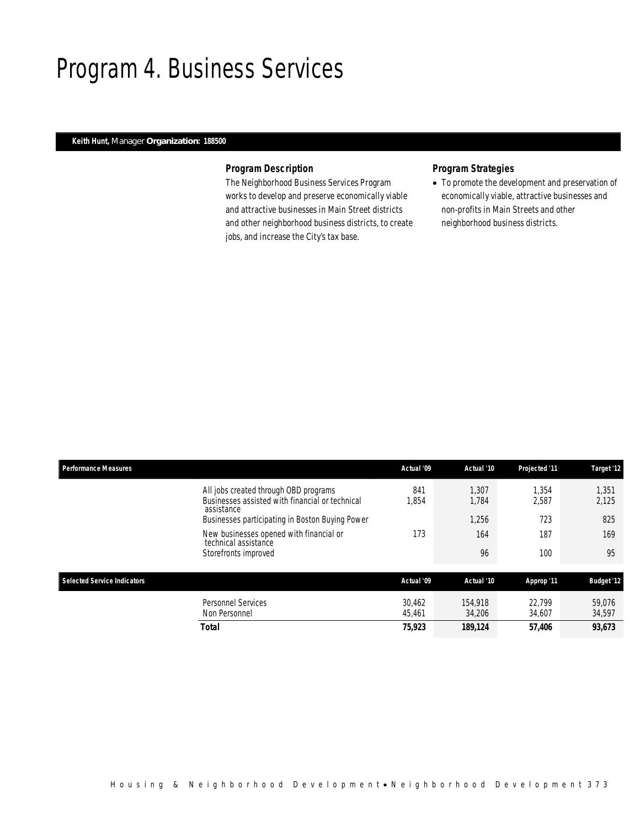## Program 4. Business Services

## *Keith Hunt, Manager Organization: 188500*

## *Program Description*

The Neighborhood Business Services Program works to develop and preserve economically viable and attractive businesses in Main Street districts and other neighborhood business districts, to create jobs, and increase the City's tax base.

## *Program Strategies*

• To promote the development and preservation of economically viable, attractive businesses and non-profits in Main Streets and other neighborhood business districts.

| <b>Performance Measures</b>                                                                            | Actual '09       | Actual '10        | Projected '11    | Target '12        |
|--------------------------------------------------------------------------------------------------------|------------------|-------------------|------------------|-------------------|
| All jobs created through OBD programs<br>Businesses assisted with financial or technical<br>assistance | 841<br>1.854     | 1.307<br>1.784    | 1.354<br>2.587   | 1.351<br>2,125    |
| Businesses participating in Boston Buying Power                                                        |                  | 1,256             | 723              | 825               |
| New businesses opened with financial or<br>technical assistance                                        | 173              | 164               | 187              | 169               |
| Storefronts improved                                                                                   |                  | 96                | 100              | 95                |
| Selected Service Indicators                                                                            | Actual '09       | Actual '10        | Approp '11       | <b>Budget '12</b> |
| <b>Personnel Services</b><br>Non Personnel                                                             | 30.462<br>45.461 | 154,918<br>34,206 | 22.799<br>34,607 | 59.076<br>34,597  |
| <b>Total</b>                                                                                           | 75,923           | 189,124           | 57,406           | 93,673            |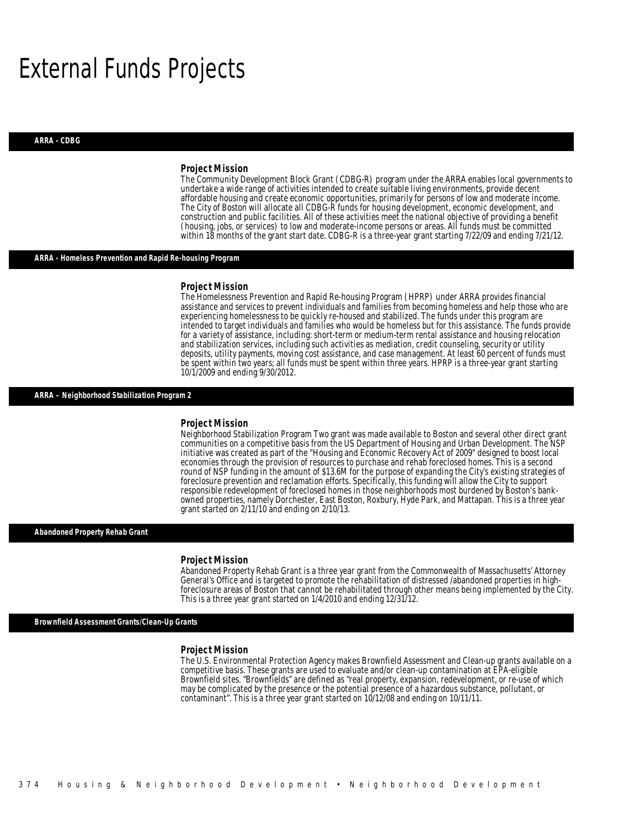## External Funds Projects

#### *ARRA - CDBG*

#### *Project Mission*

The Community Development Block Grant (CDBG-R) program under the ARRA enables local governments to undertake a wide range of activities intended to create suitable living environments, provide decent affordable housing and create economic opportunities, primarily for persons of low and moderate income. The City of Boston will allocate all CDBG-R funds for housing development, economic development, and construction and public facilities. All of these activities meet the national objective of providing a benefit (housing, jobs, or services) to low and moderate-income persons or areas. All funds must be committed within 18 months of the grant start date. CDBG-R is a three-year grant starting 7/22/09 and ending 7/21/12.

#### *ARRA - Homeless Prevention and Rapid Re-housing Program*

#### *Project Mission*

The Homelessness Prevention and Rapid Re-housing Program (HPRP) under ARRA provides financial assistance and services to prevent individuals and families from becoming homeless and help those who are experiencing homelessness to be quickly re-housed and stabilized. The funds under this program are intended to target individuals and families who would be homeless but for this assistance. The funds provide for a variety of assistance, including: short-term or medium-term rental assistance and housing relocation and stabilization services, including such activities as mediation, credit counseling, security or utility deposits, utility payments, moving cost assistance, and case management. At least 60 percent of funds must be spent within two years; all funds must be spent within three years. HPRP is a three-year grant starting 10/1/2009 and ending 9/30/2012.

### *ARRA – Neighborhood Stabilization Program 2*

#### *Project Mission*

Neighborhood Stabilization Program Two grant was made available to Boston and several other direct grant communities on a competitive basis from the US Department of Housing and Urban Development. The NSP initiative was created as part of the "Housing and Economic Recovery Act of 2009" designed to boost local economies through the provision of resources to purchase and rehab foreclosed homes. This is a second round of NSP funding in the amount of \$13.6M for the purpose of expanding the City's existing strategies of foreclosure prevention and reclamation efforts. Specifically, this funding will allow the City to support responsible redevelopment of foreclosed homes in those neighborhoods most burdened by Boston's bankowned properties, namely Dorchester, East Boston, Roxbury, Hyde Park, and Mattapan. This is a three year grant started on 2/11/10 and ending on 2/10/13.

#### *Abandoned Property Rehab Grant*

#### *Project Mission*

Ì

Abandoned Property Rehab Grant is a three year grant from the Commonwealth of Massachusetts' Attorney General's Office and is targeted to promote the rehabilitation of distressed /abandoned properties in highforeclosure areas of Boston that cannot be rehabilitated through other means being implemented by the City. This is a three year grant started on 1/4/2010 and ending 12/31/12.

*Brownfield Assessment Grants/Clean-Up Grants* 

#### *Project Mission*

The U.S. Environmental Protection Agency makes Brownfield Assessment and Clean-up grants available on a competitive basis. These grants are used to evaluate and/or clean-up contamination at EPA-eligible Brownfield sites. "Brownfields" are defined as "real property, expansion, redevelopment, or re-use of which may be complicated by the presence or the potential presence of a hazardous substance, pollutant, or contaminant". This is a three year grant started on 10/12/08 and ending on 10/11/11.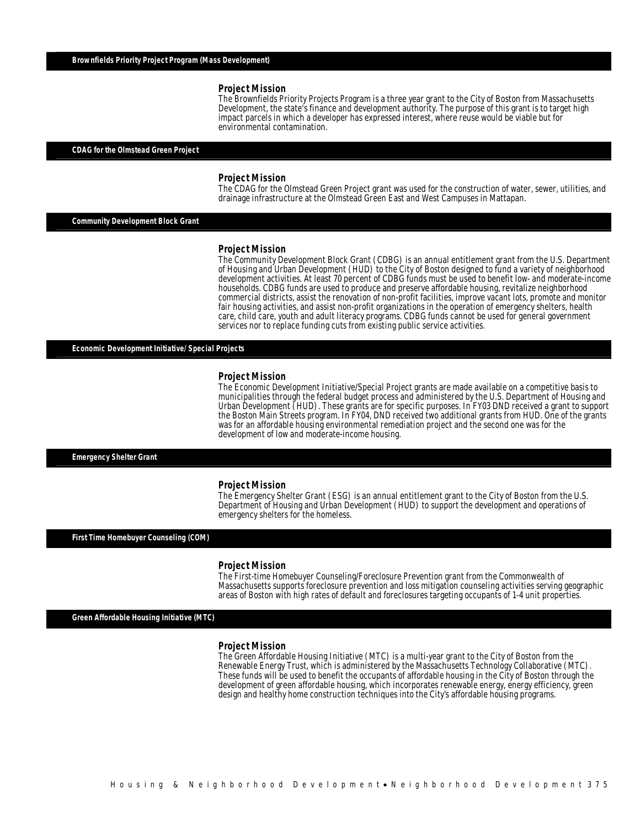The Brownfields Priority Projects Program is a three year grant to the City of Boston from Massachusetts Development, the state's finance and development authority. The purpose of this grant is to target high impact parcels in which a developer has expressed interest, where reuse would be viable but for environmental contamination.

### *CDAG for the Olmstead Green Project*

#### *Project Mission*

The CDAG for the Olmstead Green Project grant was used for the construction of water, sewer, utilities, and drainage infrastructure at the Olmstead Green East and West Campuses in Mattapan.

*Community Development Block Grant* 

#### *Project Mission*

The Community Development Block Grant (CDBG) is an annual entitlement grant from the U.S. Department of Housing and Urban Development (HUD) to the City of Boston designed to fund a variety of neighborhood development activities. At least 70 percent of CDBG funds must be used to benefit low- and moderate-income households. CDBG funds are used to produce and preserve affordable housing, revitalize neighborhood commercial districts, assist the renovation of non-profit facilities, improve vacant lots, promote and monitor fair housing activities, and assist non-profit organizations in the operation of emergency shelters, health care, child care, youth and adult literacy programs. CDBG funds cannot be used for general government services nor to replace funding cuts from existing public service activities.

*Economic Development Initiative/ Special Projects* 

#### *Project Mission*

The Economic Development Initiative/Special Project grants are made available on a competitive basis to municipalities through the federal budget process and administered by the U.S. Department of Housing and Urban Development (HUD). These grants are for specific purposes. In FY03 DND received a grant to support the Boston Main Streets program. In FY04, DND received two additional grants from HUD. One of the grants was for an affordable housing environmental remediation project and the second one was for the development of low and moderate-income housing.

### *Emergency Shelter Grant*

#### *Project Mission*

The Emergency Shelter Grant (ESG) is an annual entitlement grant to the City of Boston from the U.S. Department of Housing and Urban Development (HUD) to support the development and operations of emergency shelters for the homeless.

#### *First Time Homebuyer Counseling (COM)*

#### *Project Mission*

The First-time Homebuyer Counseling/Foreclosure Prevention grant from the Commonwealth of Massachusetts supports foreclosure prevention and loss mitigation counseling activities serving geographic areas of Boston with high rates of default and foreclosures targeting occupants of 1-4 unit properties.

*Green Affordable Housing Initiative (MTC)* 

#### *Project Mission*

The Green Affordable Housing Initiative (MTC) is a multi-year grant to the City of Boston from the Renewable Energy Trust, which is administered by the Massachusetts Technology Collaborative (MTC). These funds will be used to benefit the occupants of affordable housing in the City of Boston through the development of green affordable housing, which incorporates renewable energy, energy efficiency, green design and healthy home construction techniques into the City's affordable housing programs.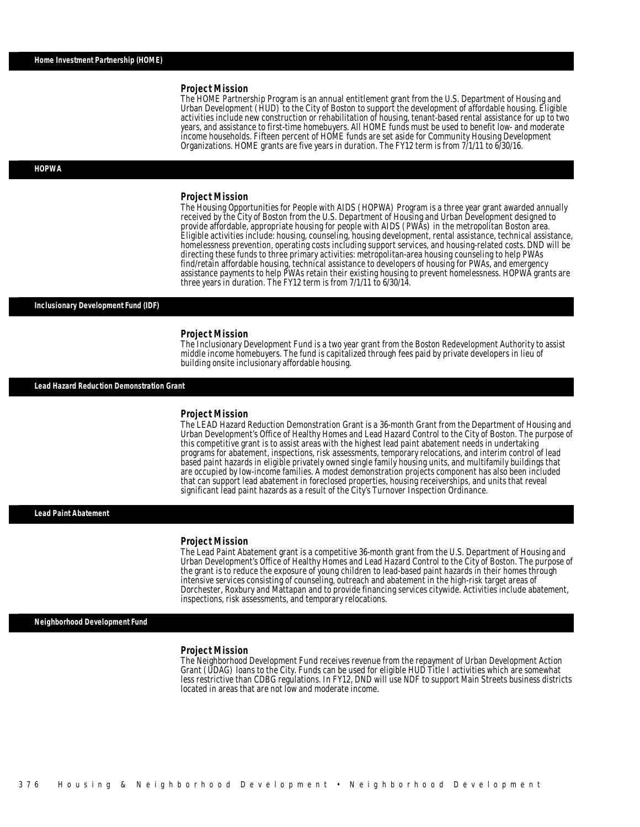The HOME Partnership Program is an annual entitlement grant from the U.S. Department of Housing and Urban Development (HUD) to the City of Boston to support the development of affordable housing. Eligible activities include new construction or rehabilitation of housing, tenant-based rental assistance for up to two years, and assistance to first-time homebuyers. All HOME funds must be used to benefit low- and moderate income households. Fifteen percent of HOME funds are set aside for Community Housing Development Organizations. HOME grants are five years in duration. The FY12 term is from 7/1/11 to 6/30/16.

#### *HOPWA*

#### *Project Mission*

The Housing Opportunities for People with AIDS (HOPWA) Program is a three year grant awarded annually received by the City of Boston from the U.S. Department of Housing and Urban Development designed to provide affordable, appropriate housing for people with AIDS (PWAs) in the metropolitan Boston area. Eligible activities include: housing, counseling, housing development, rental assistance, technical assistance, homelessness prevention, operating costs including support services, and housing-related costs. DND will be directing these funds to three primary activities: metropolitan-area housing counseling to help PWAs find/retain affordable housing, technical assistance to developers of housing for PWAs, and emergency assistance payments to help PWAs retain their existing housing to prevent homelessness. HOPWA grants are three years in duration. The FY12 term is from 7/1/11 to 6/30/14.

#### *Inclusionary Development Fund (IDF)*

#### *Project Mission*

The Inclusionary Development Fund is a two year grant from the Boston Redevelopment Authority to assist middle income homebuyers. The fund is capitalized through fees paid by private developers in lieu of building onsite inclusionary affordable housing.

*Lead Hazard Reduction Demonstration Grant* 

#### *Project Mission*

The LEAD Hazard Reduction Demonstration Grant is a 36-month Grant from the Department of Housing and Urban Development's Office of Healthy Homes and Lead Hazard Control to the City of Boston. The purpose of this competitive grant is to assist areas with the highest lead paint abatement needs in undertaking programs for abatement, inspections, risk assessments, temporary relocations, and interim control of lead based paint hazards in eligible privately owned single family housing units, and multifamily buildings that are occupied by low-income families. A modest demonstration projects component has also been included that can support lead abatement in foreclosed properties, housing receiverships, and units that reveal significant lead paint hazards as a result of the City's Turnover Inspection Ordinance.

### *Lead Paint Abatement*

#### *Project Mission*

The Lead Paint Abatement grant is a competitive 36-month grant from the U.S. Department of Housing and Urban Development's Office of Healthy Homes and Lead Hazard Control to the City of Boston. The purpose of the grant is to reduce the exposure of young children to lead-based paint hazards in their homes through intensive services consisting of counseling, outreach and abatement in the high-risk target areas of Dorchester, Roxbury and Mattapan and to provide financing services citywide. Activities include abatement, inspections, risk assessments, and temporary relocations.

#### *Neighborhood Development Fund*

#### *Project Mission*

The Neighborhood Development Fund receives revenue from the repayment of Urban Development Action Grant (UDAG) loans to the City. Funds can be used for eligible HUD Title I activities which are somewhat less restrictive than CDBG regulations. In FY12, DND will use NDF to support Main Streets business districts located in areas that are not low and moderate income.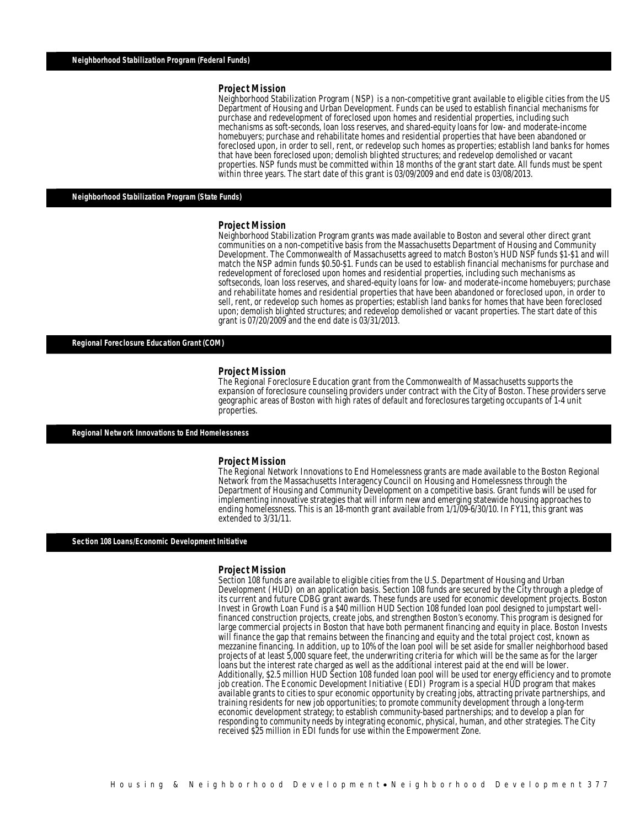Neighborhood Stabilization Program (NSP) is a non-competitive grant available to eligible cities from the US Department of Housing and Urban Development. Funds can be used to establish financial mechanisms for purchase and redevelopment of foreclosed upon homes and residential properties, including such mechanisms as soft-seconds, loan loss reserves, and shared-equity loans for low- and moderate-income homebuyers; purchase and rehabilitate homes and residential properties that have been abandoned or foreclosed upon, in order to sell, rent, or redevelop such homes as properties; establish land banks for homes that have been foreclosed upon; demolish blighted structures; and redevelop demolished or vacant properties. NSP funds must be committed within 18 months of the grant start date. All funds must be spent within three years. The start date of this grant is 03/09/2009 and end date is 03/08/2013.

*Neighborhood Stabilization Program (State Funds)* 

#### *Project Mission*

Neighborhood Stabilization Program grants was made available to Boston and several other direct grant communities on a non-competitive basis from the Massachusetts Department of Housing and Community Development. The Commonwealth of Massachusetts agreed to match Boston's HUD NSP funds \$1-\$1 and will match the NSP admin funds \$0.50-\$1. Funds can be used to establish financial mechanisms for purchase and redevelopment of foreclosed upon homes and residential properties, including such mechanisms as softseconds, loan loss reserves, and shared-equity loans for low- and moderate-income homebuyers; purchase and rehabilitate homes and residential properties that have been abandoned or foreclosed upon, in order to sell, rent, or redevelop such homes as properties; establish land banks for homes that have been foreclosed upon; demolish blighted structures; and redevelop demolished or vacant properties. The start date of this grant is 07/20/2009 and the end date is 03/31/2013. Ì

*Regional Foreclosure Education Grant (COM)* 

#### *Project Mission*

The Regional Foreclosure Education grant from the Commonwealth of Massachusetts supports the expansion of foreclosure counseling providers under contract with the City of Boston. These providers serve geographic areas of Boston with high rates of default and foreclosures targeting occupants of 1-4 unit properties.

*Regional Network Innovations to End Homelessness* 

#### *Project Mission*

Î

The Regional Network Innovations to End Homelessness grants are made available to the Boston Regional Network from the Massachusetts Interagency Council on Housing and Homelessness through the Department of Housing and Community Development on a competitive basis. Grant funds will be used for implementing innovative strategies that will inform new and emerging statewide housing approaches to ending homelessness. This is an 18-month grant available from 1/1/09-6/30/10. In FY11, this grant was extended to 3/31/11.

#### *Section 108 Loans/Economic Development Initiative*

*Project Mission*  Development (HUD) on an application basis. Section 108 funds are secured by the City through a pledge of its current and future CDBG grant awards. These funds are used for economic development projects. Boston Invest in Growth Loan Fund is a \$40 million HUD Section 108 funded loan pool designed to jumpstart wellfinanced construction projects, create jobs, and strengthen Boston's economy. This program is designed for large commercial projects in Boston that have both permanent financing and equity in place. Boston Invests will finance the gap that remains between the financing and equity and the total project cost, known as mezzanine financing. In addition, up to 10% of the loan pool will be set aside for smaller neighborhood based projects of at least 5,000 square feet, the underwriting criteria for which will be the same as for the larger loans but the interest rate charged as well as the additional interest paid at the end will be lower. Additionally, \$2.5 million HUD Section 108 funded loan pool will be used tor energy efficiency and to promote job creation. The Economic Development Initiative (EDI) Program is a special HUD program that makes available grants to cities to spur economic opportunity by creating jobs, attracting private partnerships, and training residents for new job opportunities; to promote community development through a long-term economic development strategy; to establish community-based partnerships; and to develop a plan for responding to community needs by integrating economic, physical, human, and other strategies. The City received \$25 million in EDI funds for use within the Empowerment Zone.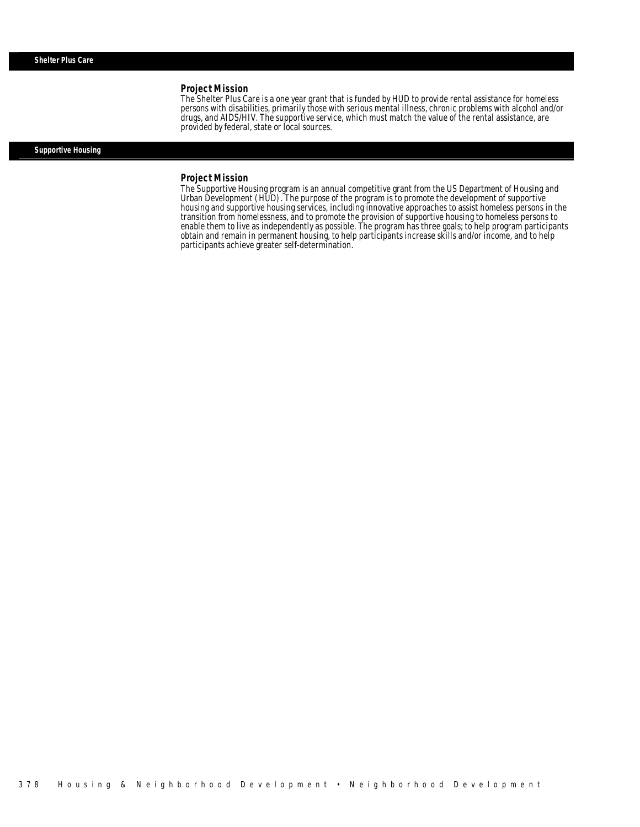The Shelter Plus Care is a one year grant that is funded by HUD to provide rental assistance for homeless persons with disabilities, primarily those with serious mental illness, chronic problems with alcohol and/or drugs, and AIDS/HIV. The supportive service, which must match the value of the rental assistance, are provided by federal, state or local sources.

### *Supportive Housing*

#### *Project Mission*

Î

The Supportive Housing program is an annual competitive grant from the US Department of Housing and Urban Development (HUD). The purpose of the program is to promote the development of supportive housing and supportive housing services, including innovative approaches to assist homeless persons in the transition from homelessness, and to promote the provision of supportive housing to homeless persons to enable them to live as independently as possible. The program has three goals; to help program participants obtain and remain in permanent housing, to help participants increase skills and/or income, and to help participants achieve greater self-determination.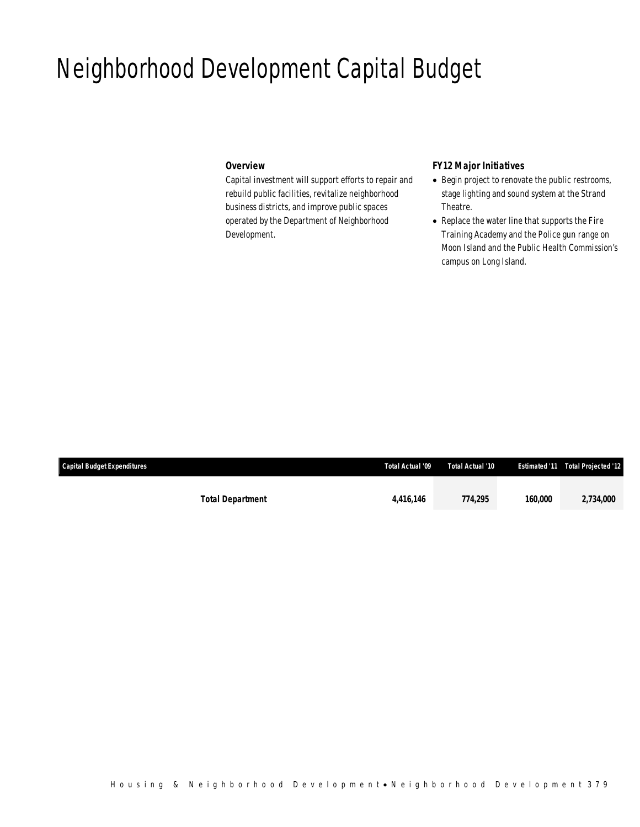## Neighborhood Development Capital Budget

## *Overview*

Capital investment will support efforts to repair and rebuild public facilities, revitalize neighborhood business districts, and improve public spaces operated by the Department of Neighborhood Development.

## *FY12 Major Initiatives*

- Begin project to renovate the public restrooms, stage lighting and sound system at the Strand Theatre.
- Replace the water line that supports the Fire Training Academy and the Police gun range on Moon Island and the Public Health Commission's campus on Long Island.

| <b>Capital Budget Expenditures</b> |                         | Total Actual '09 | Total Actual '10 |         | <b>Estimated '11 Total Projected '12</b> |
|------------------------------------|-------------------------|------------------|------------------|---------|------------------------------------------|
|                                    |                         |                  |                  |         |                                          |
|                                    | <b>Total Department</b> | 4.416.146        | 774.295          | 160,000 | 2,734,000                                |